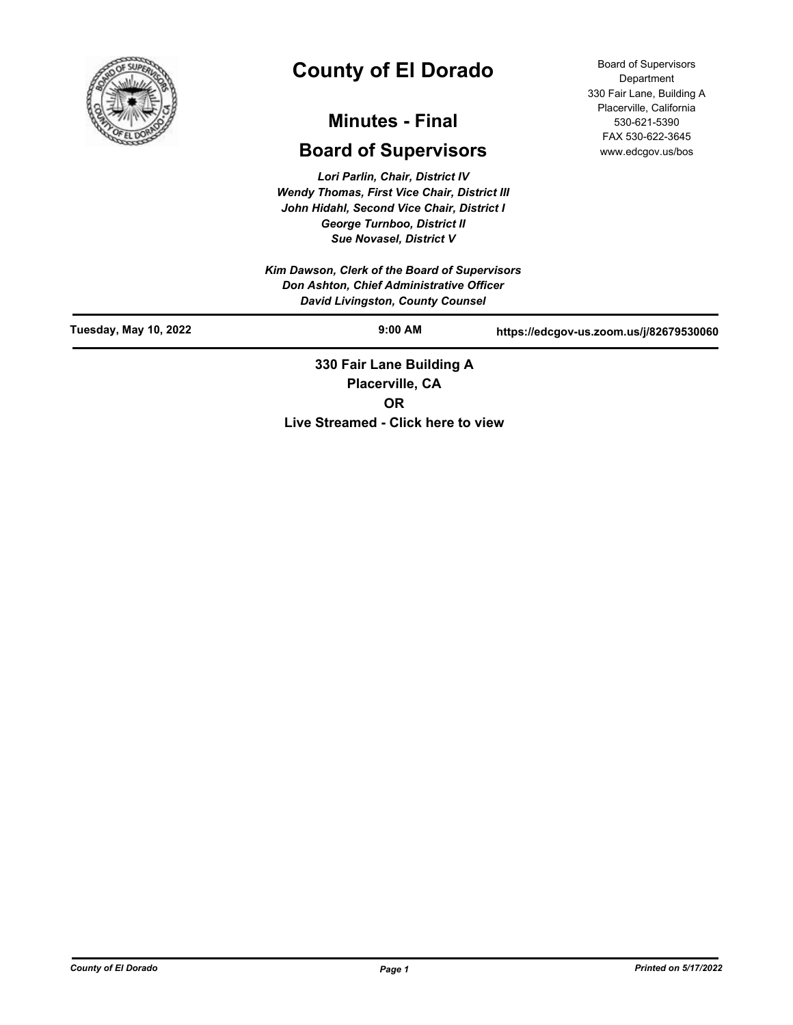

# **County of El Dorado**

# **Minutes - Final**

## **Board of Supervisors**

*Lori Parlin, Chair, District IV Wendy Thomas, First Vice Chair, District III John Hidahl, Second Vice Chair, District I George Turnboo, District II Sue Novasel, District V*

*Kim Dawson, Clerk of the Board of Supervisors Don Ashton, Chief Administrative Officer David Livingston, County Counsel*

Board of Supervisors Department 330 Fair Lane, Building A Placerville, California 530-621-5390 FAX 530-622-3645 www.edcgov.us/bos

| Tuesday, May 10, 2022 | $9:00$ AM                                         | https://edcgov-us.zoom.us/j/82679530060 |
|-----------------------|---------------------------------------------------|-----------------------------------------|
|                       | 330 Fair Lane Building A<br><b>Disconville CA</b> |                                         |

**Placerville, CA OR Live Streamed - Click here to view**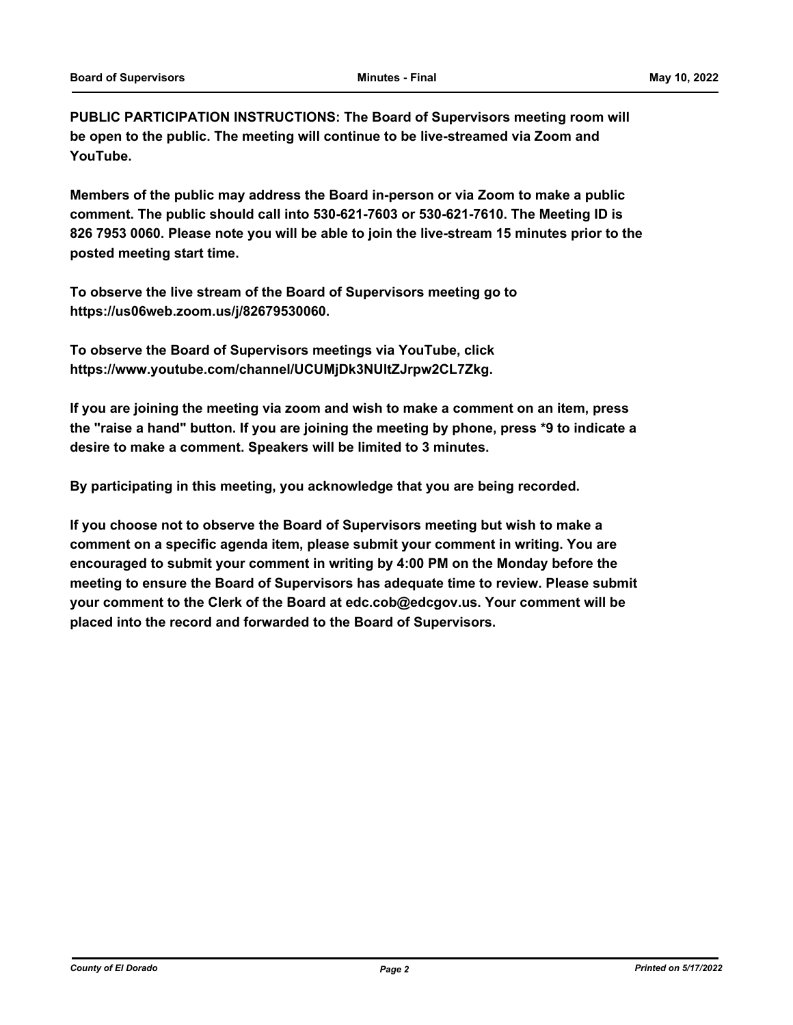**PUBLIC PARTICIPATION INSTRUCTIONS: The Board of Supervisors meeting room will be open to the public. The meeting will continue to be live-streamed via Zoom and YouTube.**

**Members of the public may address the Board in-person or via Zoom to make a public comment. The public should call into 530-621-7603 or 530-621-7610. The Meeting ID is 826 7953 0060. Please note you will be able to join the live-stream 15 minutes prior to the posted meeting start time.**

**To observe the live stream of the Board of Supervisors meeting go to https://us06web.zoom.us/j/82679530060.**

**To observe the Board of Supervisors meetings via YouTube, click https://www.youtube.com/channel/UCUMjDk3NUltZJrpw2CL7Zkg.**

**If you are joining the meeting via zoom and wish to make a comment on an item, press the "raise a hand" button. If you are joining the meeting by phone, press \*9 to indicate a desire to make a comment. Speakers will be limited to 3 minutes.**

**By participating in this meeting, you acknowledge that you are being recorded.**

**If you choose not to observe the Board of Supervisors meeting but wish to make a comment on a specific agenda item, please submit your comment in writing. You are encouraged to submit your comment in writing by 4:00 PM on the Monday before the meeting to ensure the Board of Supervisors has adequate time to review. Please submit your comment to the Clerk of the Board at edc.cob@edcgov.us. Your comment will be placed into the record and forwarded to the Board of Supervisors.**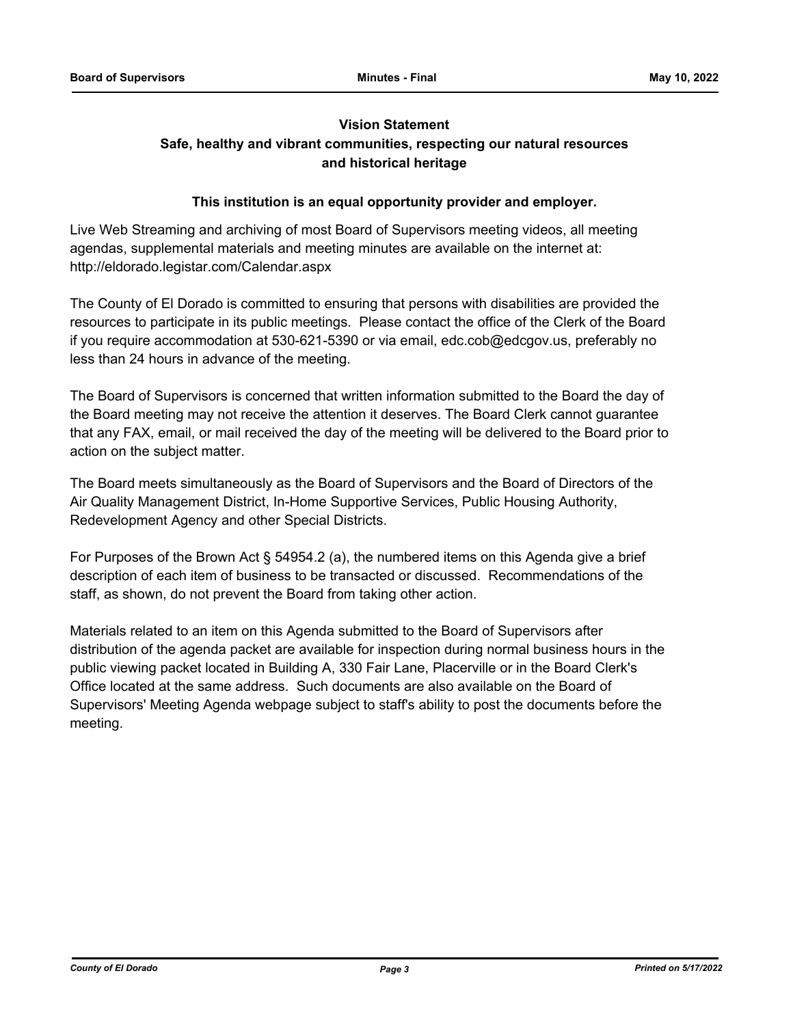## **Vision Statement**

## **Safe, healthy and vibrant communities, respecting our natural resources and historical heritage**

## **This institution is an equal opportunity provider and employer.**

Live Web Streaming and archiving of most Board of Supervisors meeting videos, all meeting agendas, supplemental materials and meeting minutes are available on the internet at: http://eldorado.legistar.com/Calendar.aspx

The County of El Dorado is committed to ensuring that persons with disabilities are provided the resources to participate in its public meetings. Please contact the office of the Clerk of the Board if you require accommodation at 530-621-5390 or via email, edc.cob@edcgov.us, preferably no less than 24 hours in advance of the meeting.

The Board of Supervisors is concerned that written information submitted to the Board the day of the Board meeting may not receive the attention it deserves. The Board Clerk cannot guarantee that any FAX, email, or mail received the day of the meeting will be delivered to the Board prior to action on the subject matter.

The Board meets simultaneously as the Board of Supervisors and the Board of Directors of the Air Quality Management District, In-Home Supportive Services, Public Housing Authority, Redevelopment Agency and other Special Districts.

For Purposes of the Brown Act § 54954.2 (a), the numbered items on this Agenda give a brief description of each item of business to be transacted or discussed. Recommendations of the staff, as shown, do not prevent the Board from taking other action.

Materials related to an item on this Agenda submitted to the Board of Supervisors after distribution of the agenda packet are available for inspection during normal business hours in the public viewing packet located in Building A, 330 Fair Lane, Placerville or in the Board Clerk's Office located at the same address. Such documents are also available on the Board of Supervisors' Meeting Agenda webpage subject to staff's ability to post the documents before the meeting.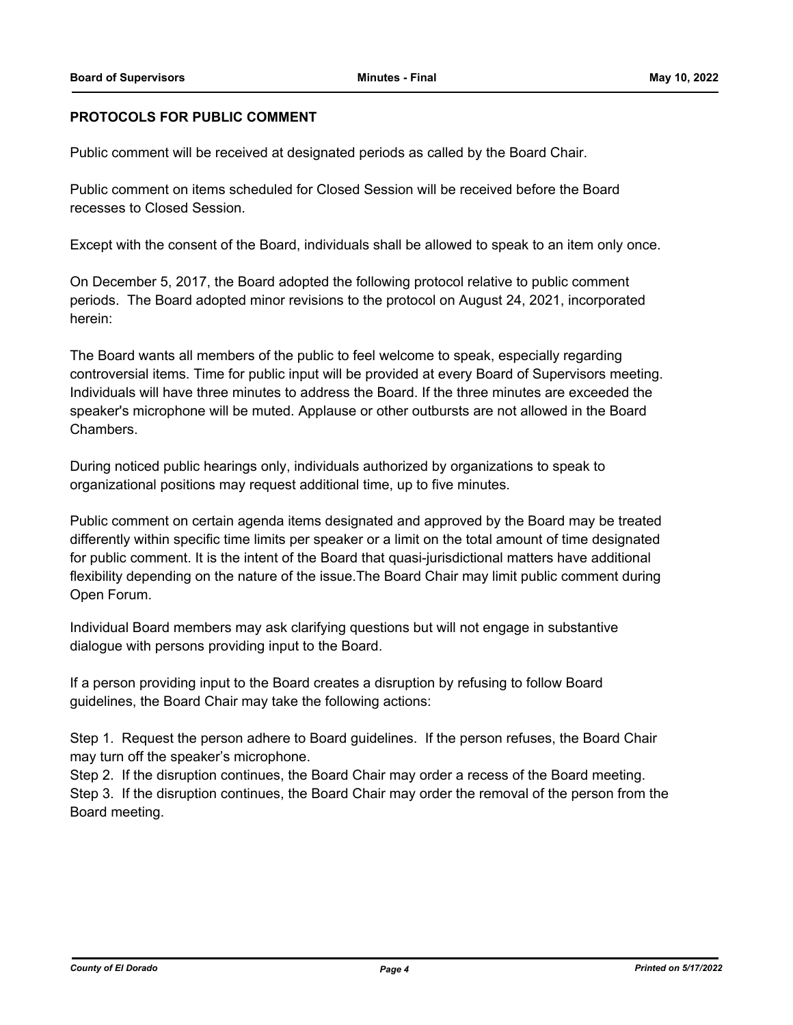## **PROTOCOLS FOR PUBLIC COMMENT**

Public comment will be received at designated periods as called by the Board Chair.

Public comment on items scheduled for Closed Session will be received before the Board recesses to Closed Session.

Except with the consent of the Board, individuals shall be allowed to speak to an item only once.

On December 5, 2017, the Board adopted the following protocol relative to public comment periods. The Board adopted minor revisions to the protocol on August 24, 2021, incorporated herein:

The Board wants all members of the public to feel welcome to speak, especially regarding controversial items. Time for public input will be provided at every Board of Supervisors meeting. Individuals will have three minutes to address the Board. If the three minutes are exceeded the speaker's microphone will be muted. Applause or other outbursts are not allowed in the Board Chambers.

During noticed public hearings only, individuals authorized by organizations to speak to organizational positions may request additional time, up to five minutes.

Public comment on certain agenda items designated and approved by the Board may be treated differently within specific time limits per speaker or a limit on the total amount of time designated for public comment. It is the intent of the Board that quasi-jurisdictional matters have additional flexibility depending on the nature of the issue.The Board Chair may limit public comment during Open Forum.

Individual Board members may ask clarifying questions but will not engage in substantive dialogue with persons providing input to the Board.

If a person providing input to the Board creates a disruption by refusing to follow Board guidelines, the Board Chair may take the following actions:

Step 1. Request the person adhere to Board guidelines. If the person refuses, the Board Chair may turn off the speaker's microphone.

Step 2. If the disruption continues, the Board Chair may order a recess of the Board meeting. Step 3. If the disruption continues, the Board Chair may order the removal of the person from the Board meeting.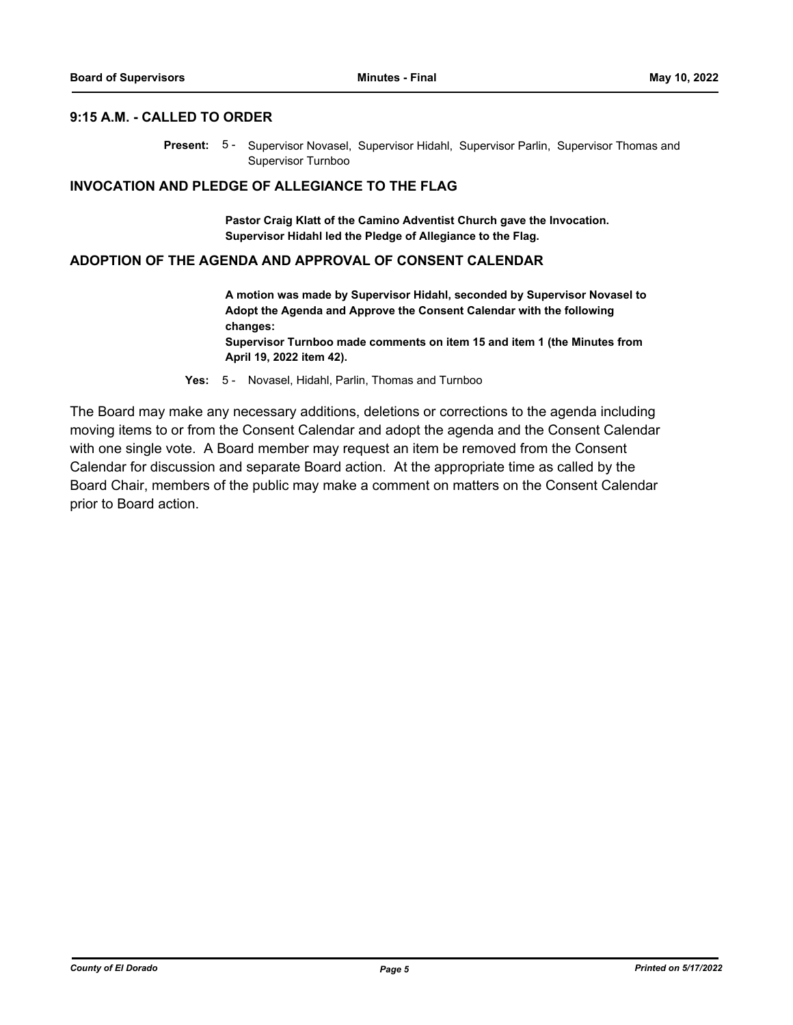#### **9:15 A.M. - CALLED TO ORDER**

Present: 5- Supervisor Novasel, Supervisor Hidahl, Supervisor Parlin, Supervisor Thomas and Supervisor Turnboo

#### **INVOCATION AND PLEDGE OF ALLEGIANCE TO THE FLAG**

**Pastor Craig Klatt of the Camino Adventist Church gave the Invocation. Supervisor Hidahl led the Pledge of Allegiance to the Flag.**

#### **ADOPTION OF THE AGENDA AND APPROVAL OF CONSENT CALENDAR**

**A motion was made by Supervisor Hidahl, seconded by Supervisor Novasel to Adopt the Agenda and Approve the Consent Calendar with the following changes: Supervisor Turnboo made comments on item 15 and item 1 (the Minutes from April 19, 2022 item 42).**

**Yes:** 5 - Novasel, Hidahl, Parlin, Thomas and Turnboo

The Board may make any necessary additions, deletions or corrections to the agenda including moving items to or from the Consent Calendar and adopt the agenda and the Consent Calendar with one single vote. A Board member may request an item be removed from the Consent Calendar for discussion and separate Board action. At the appropriate time as called by the Board Chair, members of the public may make a comment on matters on the Consent Calendar prior to Board action.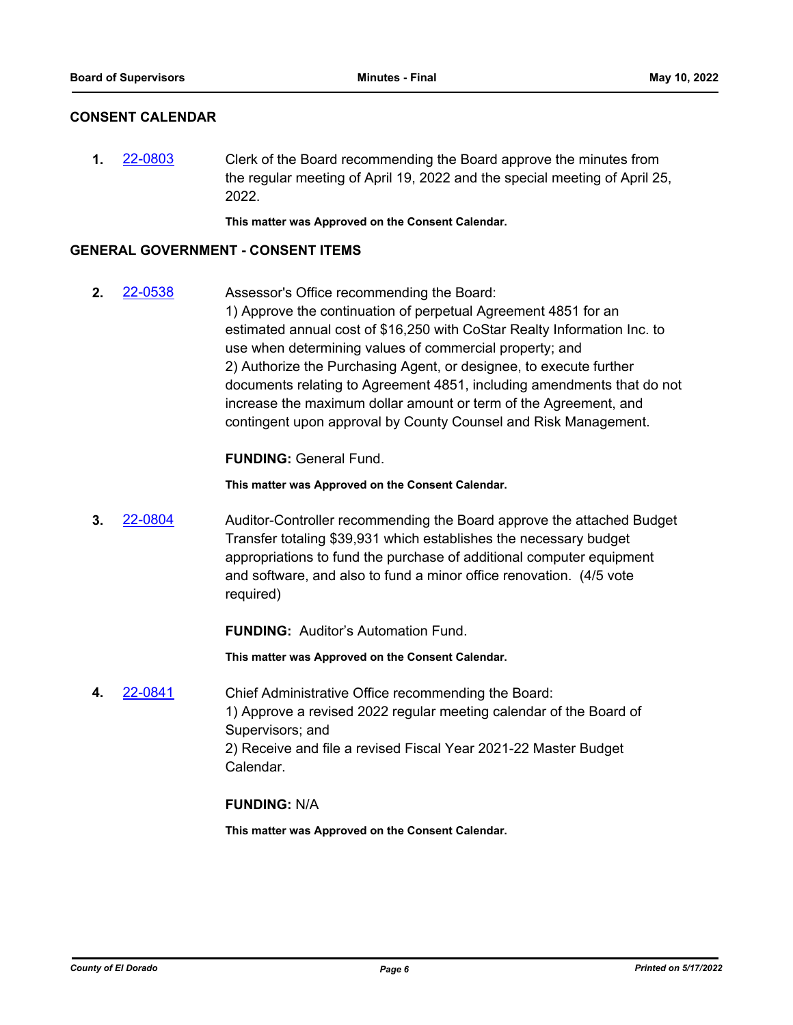## **CONSENT CALENDAR**

**1.** [22-0803](http://eldorado.legistar.com/gateway.aspx?m=l&id=/matter.aspx?key=31705) Clerk of the Board recommending the Board approve the minutes from the regular meeting of April 19, 2022 and the special meeting of April 25, 2022.

**This matter was Approved on the Consent Calendar.**

### **GENERAL GOVERNMENT - CONSENT ITEMS**

**2.** [22-0538](http://eldorado.legistar.com/gateway.aspx?m=l&id=/matter.aspx?key=31439) Assessor's Office recommending the Board: 1) Approve the continuation of perpetual Agreement 4851 for an estimated annual cost of \$16,250 with CoStar Realty Information Inc. to use when determining values of commercial property; and 2) Authorize the Purchasing Agent, or designee, to execute further documents relating to Agreement 4851, including amendments that do not increase the maximum dollar amount or term of the Agreement, and contingent upon approval by County Counsel and Risk Management.

## **FUNDING:** General Fund.

**This matter was Approved on the Consent Calendar.**

**3.** [22-0804](http://eldorado.legistar.com/gateway.aspx?m=l&id=/matter.aspx?key=31706) Auditor-Controller recommending the Board approve the attached Budget Transfer totaling \$39,931 which establishes the necessary budget appropriations to fund the purchase of additional computer equipment and software, and also to fund a minor office renovation. (4/5 vote required)

**FUNDING:** Auditor's Automation Fund.

**This matter was Approved on the Consent Calendar.**

**4.** [22-0841](http://eldorado.legistar.com/gateway.aspx?m=l&id=/matter.aspx?key=31744) Chief Administrative Office recommending the Board: 1) Approve a revised 2022 regular meeting calendar of the Board of Supervisors; and 2) Receive and file a revised Fiscal Year 2021-22 Master Budget Calendar.

## **FUNDING:** N/A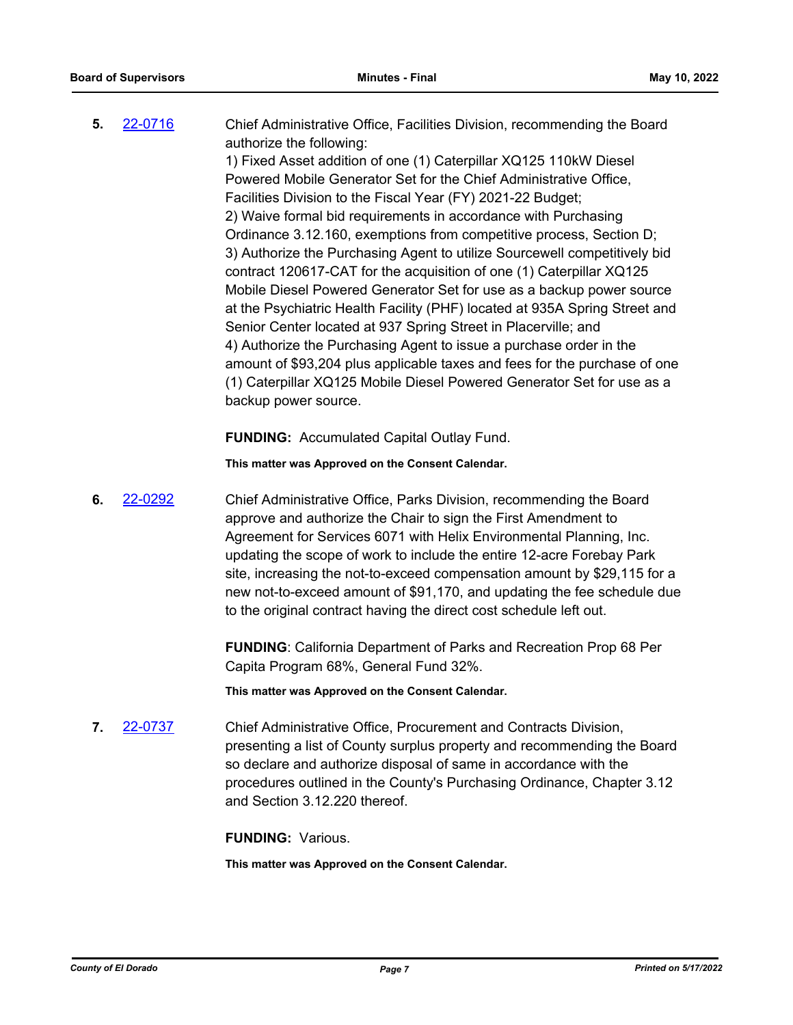| 5. | 22-0716 | Chief Administrative Office, Facilities Division, recommending the Board<br>authorize the following: |
|----|---------|------------------------------------------------------------------------------------------------------|
|    |         | 1) Fixed Asset addition of one (1) Caterpillar XQ125 110kW Diesel                                    |
|    |         | Powered Mobile Generator Set for the Chief Administrative Office,                                    |
|    |         | Facilities Division to the Fiscal Year (FY) 2021-22 Budget;                                          |
|    |         | 2) Waive formal bid requirements in accordance with Purchasing                                       |
|    |         | Ordinance 3.12.160, exemptions from competitive process, Section D;                                  |
|    |         | 3) Authorize the Purchasing Agent to utilize Sourcewell competitively bid                            |
|    |         | contract 120617-CAT for the acquisition of one (1) Caterpillar XQ125                                 |
|    |         | Mobile Diesel Powered Generator Set for use as a backup power source                                 |
|    |         | at the Psychiatric Health Facility (PHF) located at 935A Spring Street and                           |
|    |         | Senior Center located at 937 Spring Street in Placerville; and                                       |
|    |         | 4) Authorize the Purchasing Agent to issue a purchase order in the                                   |
|    |         | amount of \$93,204 plus applicable taxes and fees for the purchase of one                            |
|    |         | (1) Caterpillar XQ125 Mobile Diesel Powered Generator Set for use as a                               |
|    |         | backup power source.                                                                                 |
|    |         |                                                                                                      |

**FUNDING:** Accumulated Capital Outlay Fund.

**This matter was Approved on the Consent Calendar.**

**6.** [22-0292](http://eldorado.legistar.com/gateway.aspx?m=l&id=/matter.aspx?key=31193) Chief Administrative Office, Parks Division, recommending the Board approve and authorize the Chair to sign the First Amendment to Agreement for Services 6071 with Helix Environmental Planning, Inc. updating the scope of work to include the entire 12-acre Forebay Park site, increasing the not-to-exceed compensation amount by \$29,115 for a new not-to-exceed amount of \$91,170, and updating the fee schedule due to the original contract having the direct cost schedule left out.

> **FUNDING**: California Department of Parks and Recreation Prop 68 Per Capita Program 68%, General Fund 32%.

**This matter was Approved on the Consent Calendar.**

**7.** [22-0737](http://eldorado.legistar.com/gateway.aspx?m=l&id=/matter.aspx?key=31638) Chief Administrative Office, Procurement and Contracts Division, presenting a list of County surplus property and recommending the Board so declare and authorize disposal of same in accordance with the procedures outlined in the County's Purchasing Ordinance, Chapter 3.12 and Section 3.12.220 thereof.

**FUNDING:** Various.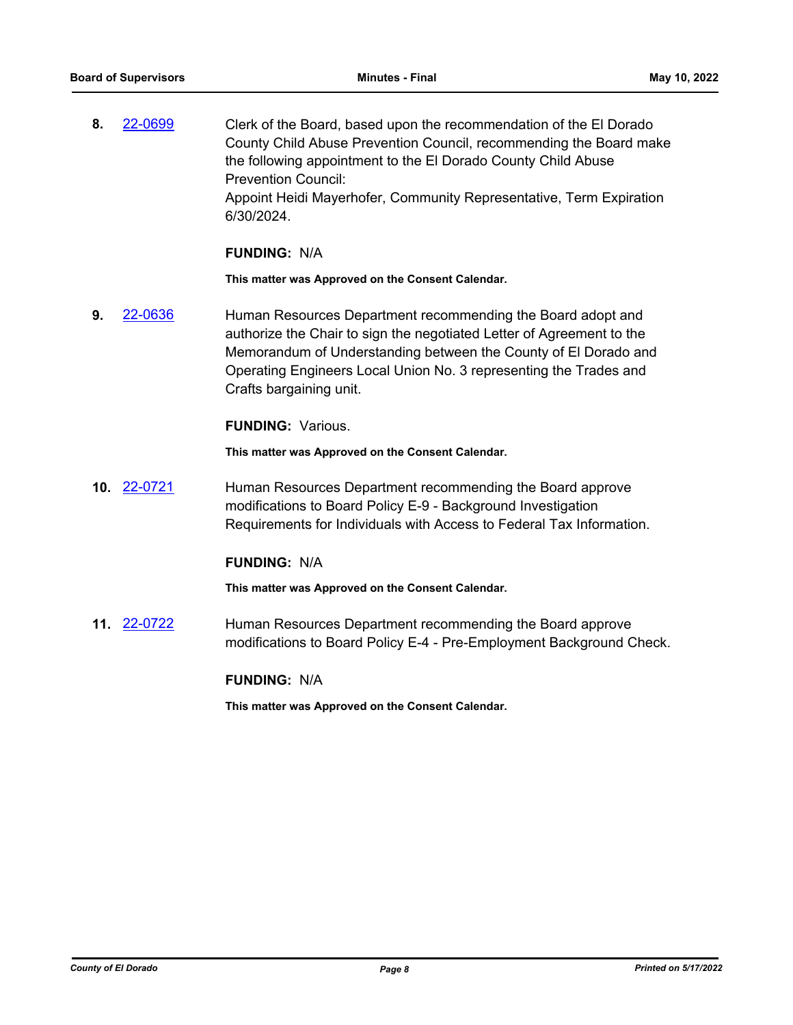**8.** [22-0699](http://eldorado.legistar.com/gateway.aspx?m=l&id=/matter.aspx?key=31600) Clerk of the Board, based upon the recommendation of the El Dorado County Child Abuse Prevention Council, recommending the Board make the following appointment to the El Dorado County Child Abuse Prevention Council: Appoint Heidi Mayerhofer, Community Representative, Term Expiration 6/30/2024.

#### **FUNDING:** N/A

**This matter was Approved on the Consent Calendar.**

**9.** [22-0636](http://eldorado.legistar.com/gateway.aspx?m=l&id=/matter.aspx?key=31537) Human Resources Department recommending the Board adopt and authorize the Chair to sign the negotiated Letter of Agreement to the Memorandum of Understanding between the County of El Dorado and Operating Engineers Local Union No. 3 representing the Trades and Crafts bargaining unit.

## **FUNDING:** Various.

**This matter was Approved on the Consent Calendar.**

**10.** [22-0721](http://eldorado.legistar.com/gateway.aspx?m=l&id=/matter.aspx?key=31622) Human Resources Department recommending the Board approve modifications to Board Policy E-9 - Background Investigation Requirements for Individuals with Access to Federal Tax Information.

## **FUNDING:** N/A

**This matter was Approved on the Consent Calendar.**

**11.** [22-0722](http://eldorado.legistar.com/gateway.aspx?m=l&id=/matter.aspx?key=31623) Human Resources Department recommending the Board approve modifications to Board Policy E-4 - Pre-Employment Background Check.

#### **FUNDING:** N/A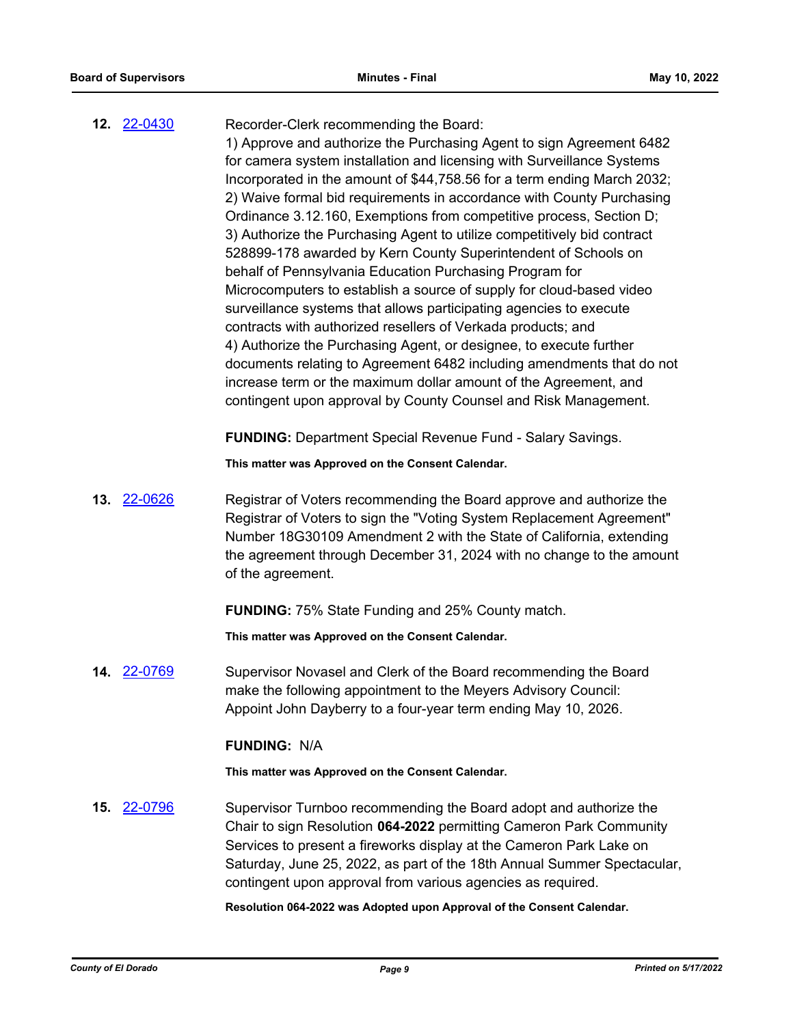| <b>12. 22-0430</b> | Recorder-Clerk recommending the Board:<br>1) Approve and authorize the Purchasing Agent to sign Agreement 6482<br>for camera system installation and licensing with Surveillance Systems<br>Incorporated in the amount of \$44,758.56 for a term ending March 2032;<br>2) Waive formal bid requirements in accordance with County Purchasing<br>Ordinance 3.12.160, Exemptions from competitive process, Section D;<br>3) Authorize the Purchasing Agent to utilize competitively bid contract<br>528899-178 awarded by Kern County Superintendent of Schools on<br>behalf of Pennsylvania Education Purchasing Program for<br>Microcomputers to establish a source of supply for cloud-based video<br>surveillance systems that allows participating agencies to execute<br>contracts with authorized resellers of Verkada products; and<br>4) Authorize the Purchasing Agent, or designee, to execute further<br>documents relating to Agreement 6482 including amendments that do not<br>increase term or the maximum dollar amount of the Agreement, and<br>contingent upon approval by County Counsel and Risk Management.<br><b>FUNDING:</b> Department Special Revenue Fund - Salary Savings. |
|--------------------|------------------------------------------------------------------------------------------------------------------------------------------------------------------------------------------------------------------------------------------------------------------------------------------------------------------------------------------------------------------------------------------------------------------------------------------------------------------------------------------------------------------------------------------------------------------------------------------------------------------------------------------------------------------------------------------------------------------------------------------------------------------------------------------------------------------------------------------------------------------------------------------------------------------------------------------------------------------------------------------------------------------------------------------------------------------------------------------------------------------------------------------------------------------------------------------------------|
|                    | This matter was Approved on the Consent Calendar.                                                                                                                                                                                                                                                                                                                                                                                                                                                                                                                                                                                                                                                                                                                                                                                                                                                                                                                                                                                                                                                                                                                                                    |
| 13. 22-0626        | Registrar of Voters recommending the Board approve and authorize the<br>Registrar of Voters to sign the "Voting System Replacement Agreement"<br>Number 18G30109 Amendment 2 with the State of California, extending<br>the agreement through December 31, 2024 with no change to the amount<br>of the agreement.                                                                                                                                                                                                                                                                                                                                                                                                                                                                                                                                                                                                                                                                                                                                                                                                                                                                                    |
|                    | <b>FUNDING: 75% State Funding and 25% County match.</b>                                                                                                                                                                                                                                                                                                                                                                                                                                                                                                                                                                                                                                                                                                                                                                                                                                                                                                                                                                                                                                                                                                                                              |
|                    | This matter was Approved on the Consent Calendar.                                                                                                                                                                                                                                                                                                                                                                                                                                                                                                                                                                                                                                                                                                                                                                                                                                                                                                                                                                                                                                                                                                                                                    |
| 14. 22-0769        | Supervisor Novasel and Clerk of the Board recommending the Board<br>make the following appointment to the Meyers Advisory Council:<br>Appoint John Dayberry to a four-year term ending May 10, 2026.                                                                                                                                                                                                                                                                                                                                                                                                                                                                                                                                                                                                                                                                                                                                                                                                                                                                                                                                                                                                 |
|                    | <b>FUNDING: N/A</b>                                                                                                                                                                                                                                                                                                                                                                                                                                                                                                                                                                                                                                                                                                                                                                                                                                                                                                                                                                                                                                                                                                                                                                                  |
|                    | This matter was Approved on the Consent Calendar.                                                                                                                                                                                                                                                                                                                                                                                                                                                                                                                                                                                                                                                                                                                                                                                                                                                                                                                                                                                                                                                                                                                                                    |
| 15. 22-0796        | Supervisor Turnboo recommending the Board adopt and authorize the<br>Chair to sign Resolution 064-2022 permitting Cameron Park Community<br>Services to present a fireworks display at the Cameron Park Lake on<br>Saturday, June 25, 2022, as part of the 18th Annual Summer Spectacular,<br>contingent upon approval from various agencies as required.                                                                                                                                                                                                                                                                                                                                                                                                                                                                                                                                                                                                                                                                                                                                                                                                                                            |

**Resolution 064-2022 was Adopted upon Approval of the Consent Calendar.**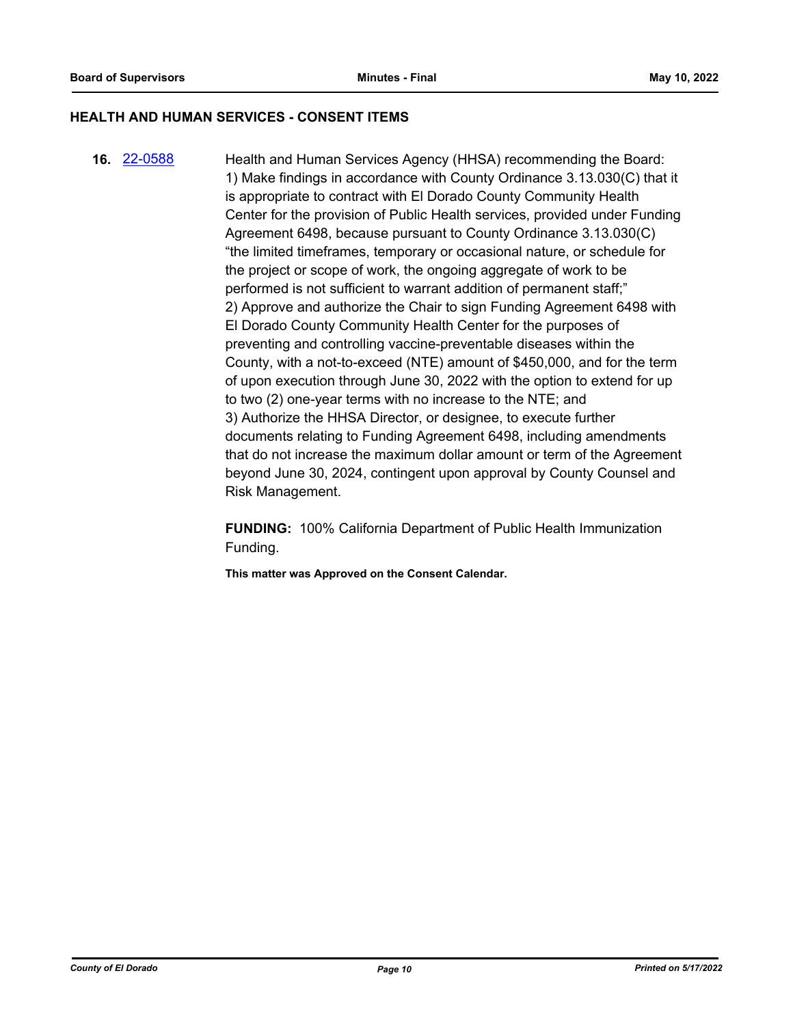#### **HEALTH AND HUMAN SERVICES - CONSENT ITEMS**

**16.** [22-0588](http://eldorado.legistar.com/gateway.aspx?m=l&id=/matter.aspx?key=31489) Health and Human Services Agency (HHSA) recommending the Board: 1) Make findings in accordance with County Ordinance 3.13.030(C) that it is appropriate to contract with El Dorado County Community Health Center for the provision of Public Health services, provided under Funding Agreement 6498, because pursuant to County Ordinance 3.13.030(C) "the limited timeframes, temporary or occasional nature, or schedule for the project or scope of work, the ongoing aggregate of work to be performed is not sufficient to warrant addition of permanent staff;" 2) Approve and authorize the Chair to sign Funding Agreement 6498 with El Dorado County Community Health Center for the purposes of preventing and controlling vaccine-preventable diseases within the County, with a not-to-exceed (NTE) amount of \$450,000, and for the term of upon execution through June 30, 2022 with the option to extend for up to two (2) one-year terms with no increase to the NTE; and 3) Authorize the HHSA Director, or designee, to execute further documents relating to Funding Agreement 6498, including amendments that do not increase the maximum dollar amount or term of the Agreement beyond June 30, 2024, contingent upon approval by County Counsel and Risk Management.

> **FUNDING:** 100% California Department of Public Health Immunization Funding.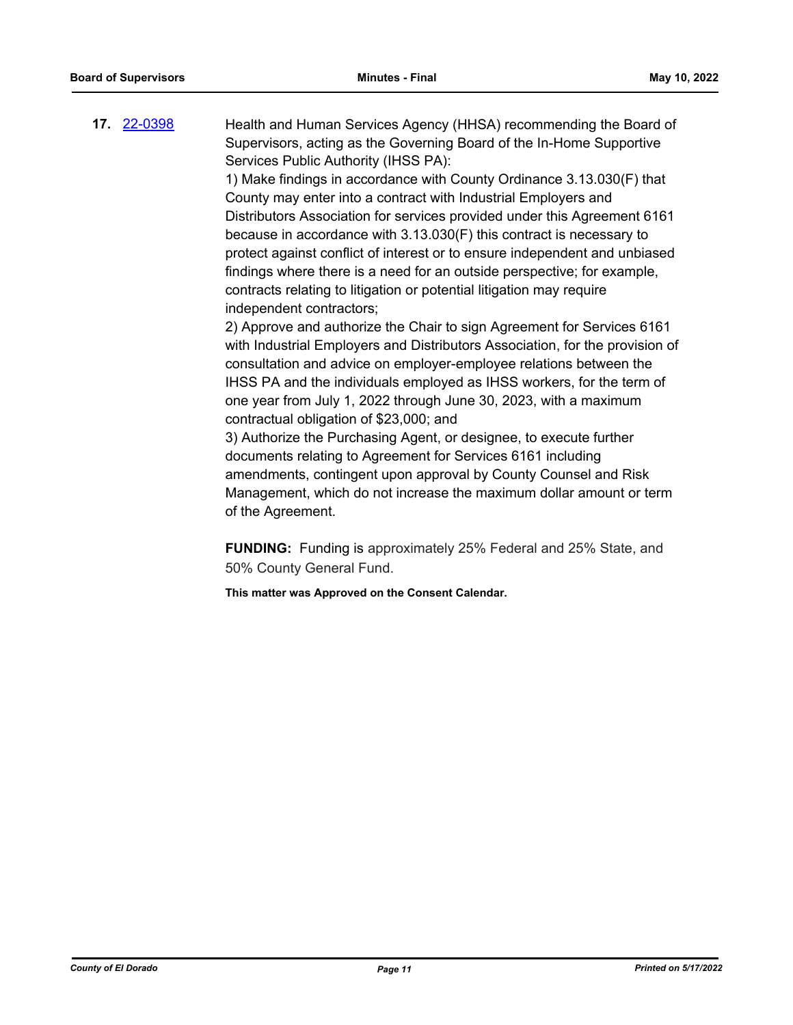**17.** [22-0398](http://eldorado.legistar.com/gateway.aspx?m=l&id=/matter.aspx?key=31299) Health and Human Services Agency (HHSA) recommending the Board of Supervisors, acting as the Governing Board of the In-Home Supportive Services Public Authority (IHSS PA):

> 1) Make findings in accordance with County Ordinance 3.13.030(F) that County may enter into a contract with Industrial Employers and Distributors Association for services provided under this Agreement 6161 because in accordance with 3.13.030(F) this contract is necessary to protect against conflict of interest or to ensure independent and unbiased findings where there is a need for an outside perspective; for example, contracts relating to litigation or potential litigation may require independent contractors;

> 2) Approve and authorize the Chair to sign Agreement for Services 6161 with Industrial Employers and Distributors Association, for the provision of consultation and advice on employer-employee relations between the IHSS PA and the individuals employed as IHSS workers, for the term of one year from July 1, 2022 through June 30, 2023, with a maximum contractual obligation of \$23,000; and

3) Authorize the Purchasing Agent, or designee, to execute further documents relating to Agreement for Services 6161 including amendments, contingent upon approval by County Counsel and Risk Management, which do not increase the maximum dollar amount or term of the Agreement.

**FUNDING:** Funding is approximately 25% Federal and 25% State, and 50% County General Fund.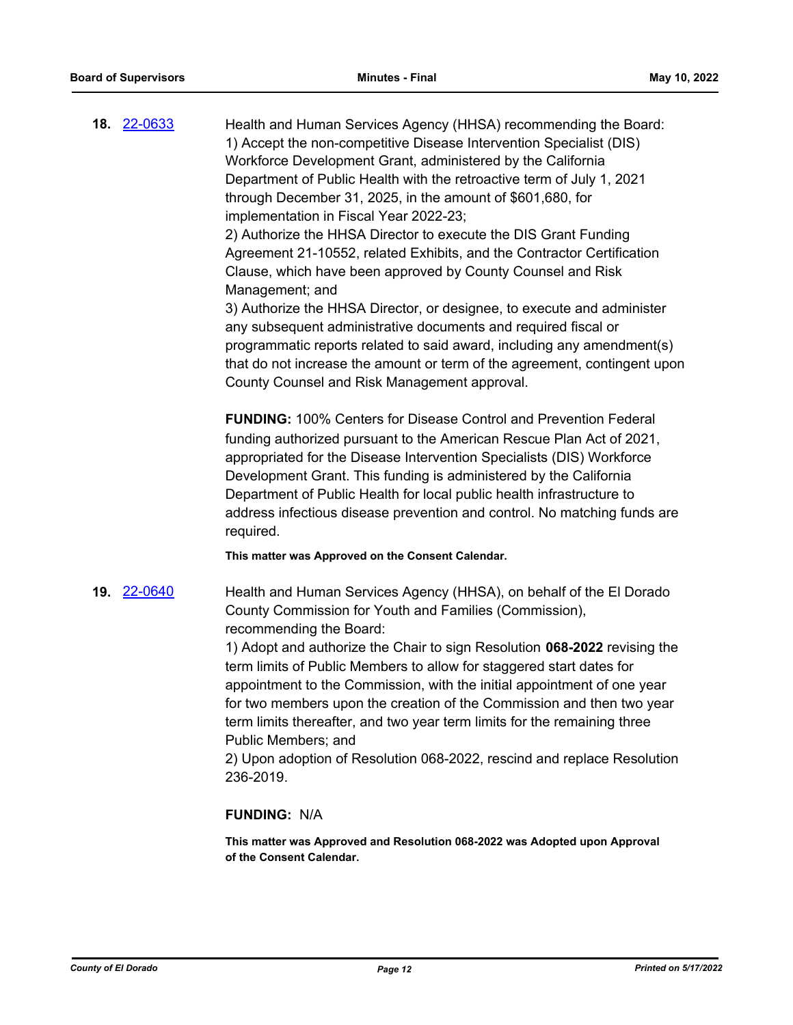**18.** [22-0633](http://eldorado.legistar.com/gateway.aspx?m=l&id=/matter.aspx?key=31534) Health and Human Services Agency (HHSA) recommending the Board: 1) Accept the non-competitive Disease Intervention Specialist (DIS) Workforce Development Grant, administered by the California Department of Public Health with the retroactive term of July 1, 2021 through December 31, 2025, in the amount of \$601,680, for implementation in Fiscal Year 2022-23; 2) Authorize the HHSA Director to execute the DIS Grant Funding Agreement 21-10552, related Exhibits, and the Contractor Certification

Clause, which have been approved by County Counsel and Risk Management; and

3) Authorize the HHSA Director, or designee, to execute and administer any subsequent administrative documents and required fiscal or programmatic reports related to said award, including any amendment(s) that do not increase the amount or term of the agreement, contingent upon County Counsel and Risk Management approval.

**FUNDING:** 100% Centers for Disease Control and Prevention Federal funding authorized pursuant to the American Rescue Plan Act of 2021, appropriated for the Disease Intervention Specialists (DIS) Workforce Development Grant. This funding is administered by the California Department of Public Health for local public health infrastructure to address infectious disease prevention and control. No matching funds are required.

**This matter was Approved on the Consent Calendar.**

**19.** [22-0640](http://eldorado.legistar.com/gateway.aspx?m=l&id=/matter.aspx?key=31541) Health and Human Services Agency (HHSA), on behalf of the El Dorado County Commission for Youth and Families (Commission), recommending the Board:

> 1) Adopt and authorize the Chair to sign Resolution **068-2022** revising the term limits of Public Members to allow for staggered start dates for appointment to the Commission, with the initial appointment of one year for two members upon the creation of the Commission and then two year term limits thereafter, and two year term limits for the remaining three Public Members; and

> 2) Upon adoption of Resolution 068-2022, rescind and replace Resolution 236-2019.

## **FUNDING:** N/A

**This matter was Approved and Resolution 068-2022 was Adopted upon Approval of the Consent Calendar.**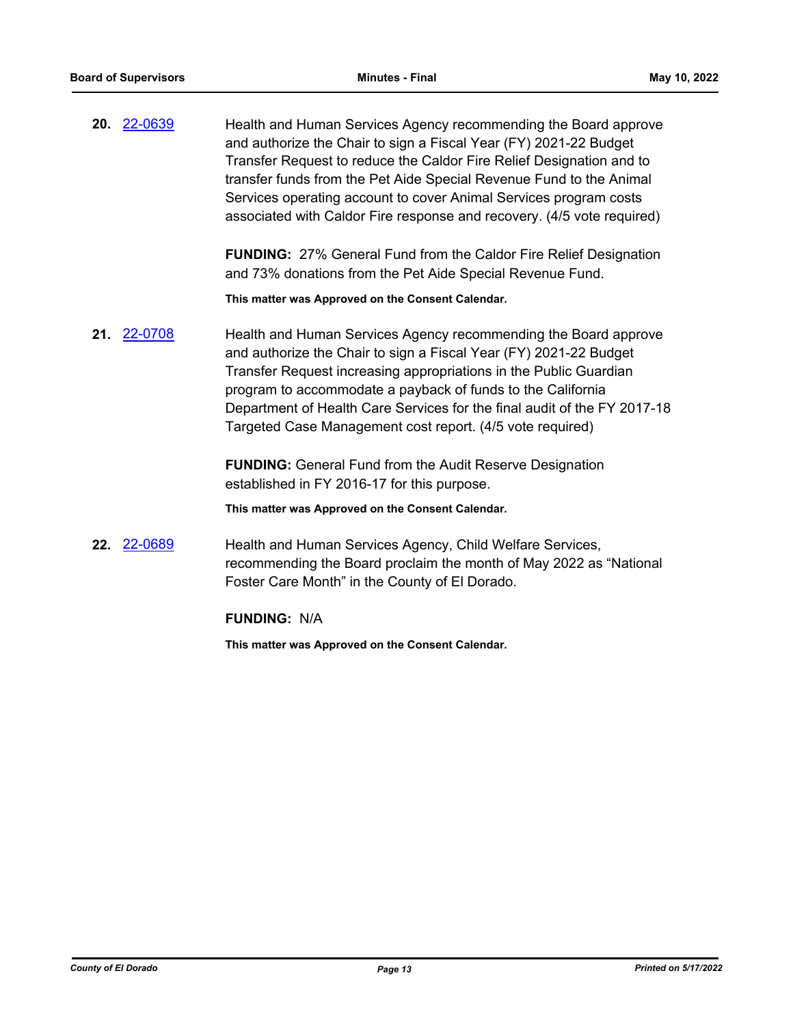**20.** [22-0639](http://eldorado.legistar.com/gateway.aspx?m=l&id=/matter.aspx?key=31540) Health and Human Services Agency recommending the Board approve and authorize the Chair to sign a Fiscal Year (FY) 2021-22 Budget Transfer Request to reduce the Caldor Fire Relief Designation and to transfer funds from the Pet Aide Special Revenue Fund to the Animal Services operating account to cover Animal Services program costs associated with Caldor Fire response and recovery. (4/5 vote required)

> **FUNDING:** 27% General Fund from the Caldor Fire Relief Designation and 73% donations from the Pet Aide Special Revenue Fund.

**This matter was Approved on the Consent Calendar.**

**21.** [22-0708](http://eldorado.legistar.com/gateway.aspx?m=l&id=/matter.aspx?key=31609) Health and Human Services Agency recommending the Board approve and authorize the Chair to sign a Fiscal Year (FY) 2021-22 Budget Transfer Request increasing appropriations in the Public Guardian program to accommodate a payback of funds to the California Department of Health Care Services for the final audit of the FY 2017-18 Targeted Case Management cost report. (4/5 vote required)

> **FUNDING:** General Fund from the Audit Reserve Designation established in FY 2016-17 for this purpose.

**This matter was Approved on the Consent Calendar.**

**22.** [22-0689](http://eldorado.legistar.com/gateway.aspx?m=l&id=/matter.aspx?key=31590) Health and Human Services Agency, Child Welfare Services, recommending the Board proclaim the month of May 2022 as "National Foster Care Month" in the County of El Dorado.

## **FUNDING:** N/A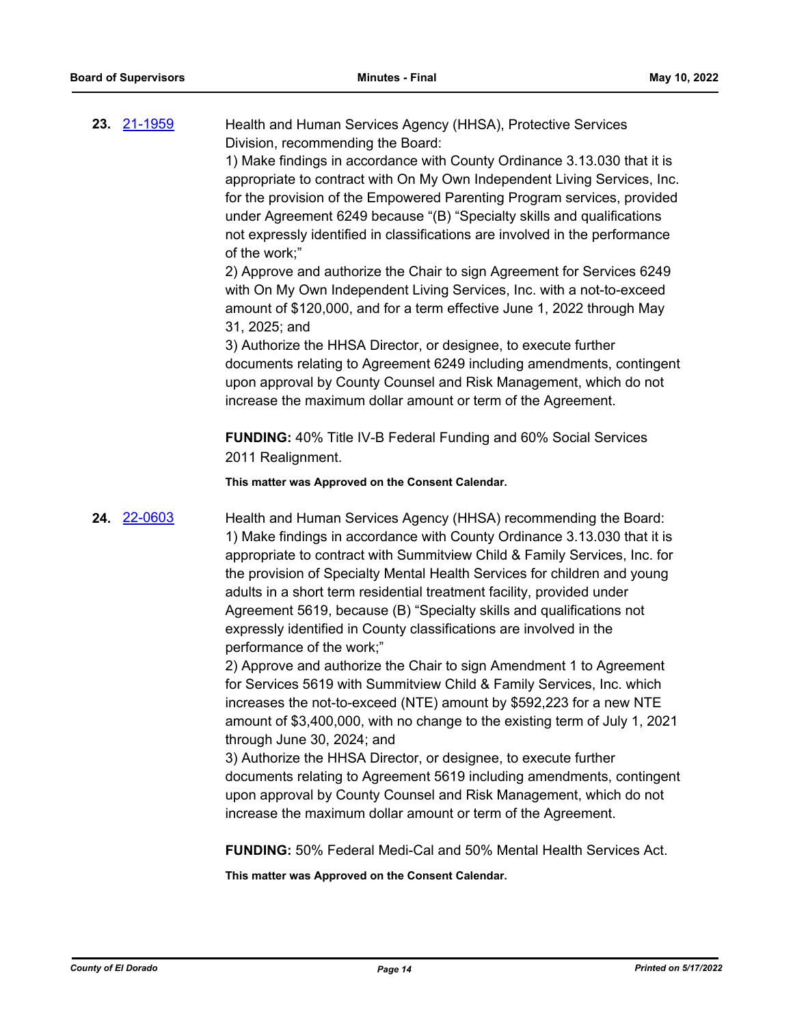**23.** [21-1959](http://eldorado.legistar.com/gateway.aspx?m=l&id=/matter.aspx?key=30855) Health and Human Services Agency (HHSA), Protective Services Division, recommending the Board:

> 1) Make findings in accordance with County Ordinance 3.13.030 that it is appropriate to contract with On My Own Independent Living Services, Inc. for the provision of the Empowered Parenting Program services, provided under Agreement 6249 because "(B) "Specialty skills and qualifications not expressly identified in classifications are involved in the performance of the work;"

2) Approve and authorize the Chair to sign Agreement for Services 6249 with On My Own Independent Living Services, Inc. with a not-to-exceed amount of \$120,000, and for a term effective June 1, 2022 through May 31, 2025; and

3) Authorize the HHSA Director, or designee, to execute further documents relating to Agreement 6249 including amendments, contingent upon approval by County Counsel and Risk Management, which do not increase the maximum dollar amount or term of the Agreement.

**FUNDING:** 40% Title IV-B Federal Funding and 60% Social Services 2011 Realignment.

**This matter was Approved on the Consent Calendar.**

**24.** [22-0603](http://eldorado.legistar.com/gateway.aspx?m=l&id=/matter.aspx?key=31504) Health and Human Services Agency (HHSA) recommending the Board: 1) Make findings in accordance with County Ordinance 3.13.030 that it is appropriate to contract with Summitview Child & Family Services, Inc. for the provision of Specialty Mental Health Services for children and young adults in a short term residential treatment facility, provided under Agreement 5619, because (B) "Specialty skills and qualifications not expressly identified in County classifications are involved in the performance of the work;"

> 2) Approve and authorize the Chair to sign Amendment 1 to Agreement for Services 5619 with Summitview Child & Family Services, Inc. which increases the not-to-exceed (NTE) amount by \$592,223 for a new NTE amount of \$3,400,000, with no change to the existing term of July 1, 2021 through June 30, 2024; and

> 3) Authorize the HHSA Director, or designee, to execute further documents relating to Agreement 5619 including amendments, contingent upon approval by County Counsel and Risk Management, which do not increase the maximum dollar amount or term of the Agreement.

**FUNDING:** 50% Federal Medi-Cal and 50% Mental Health Services Act.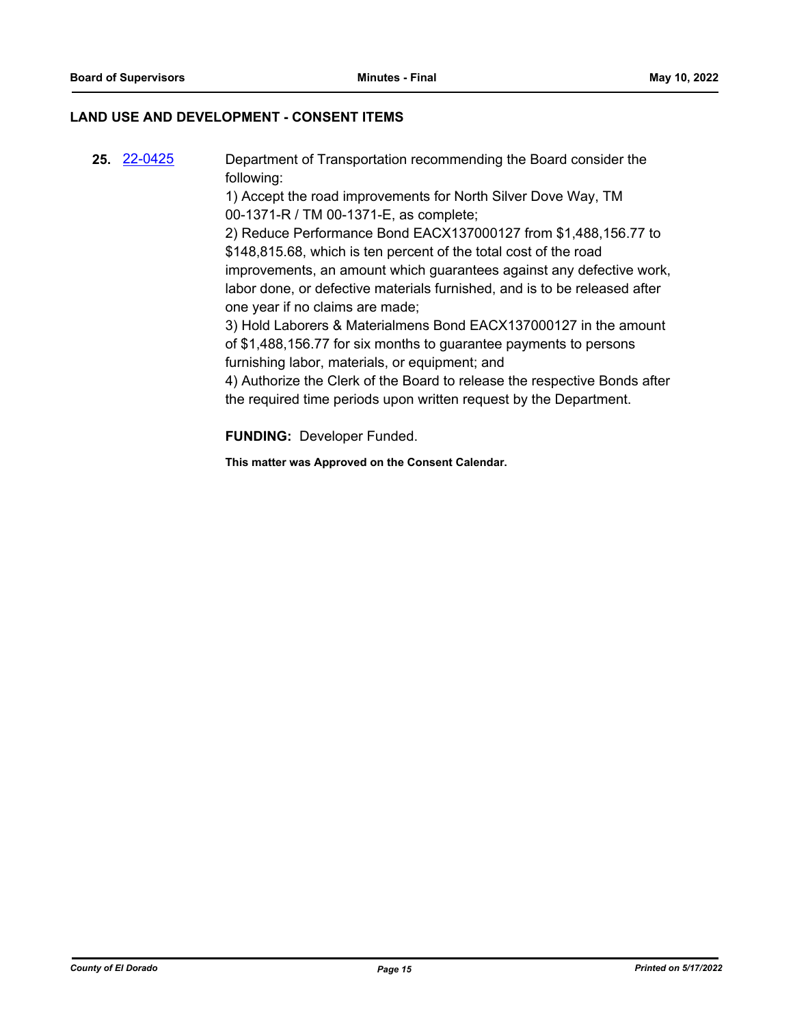## **LAND USE AND DEVELOPMENT - CONSENT ITEMS**

**25.** [22-0425](http://eldorado.legistar.com/gateway.aspx?m=l&id=/matter.aspx?key=31326) Department of Transportation recommending the Board consider the following: 1) Accept the road improvements for North Silver Dove Way, TM 00-1371-R / TM 00-1371-E, as complete; 2) Reduce Performance Bond EACX137000127 from \$1,488,156.77 to \$148,815.68, which is ten percent of the total cost of the road improvements, an amount which guarantees against any defective work, labor done, or defective materials furnished, and is to be released after one year if no claims are made; 3) Hold Laborers & Materialmens Bond EACX137000127 in the amount of \$1,488,156.77 for six months to guarantee payments to persons furnishing labor, materials, or equipment; and 4) Authorize the Clerk of the Board to release the respective Bonds after the required time periods upon written request by the Department.

**FUNDING:** Developer Funded.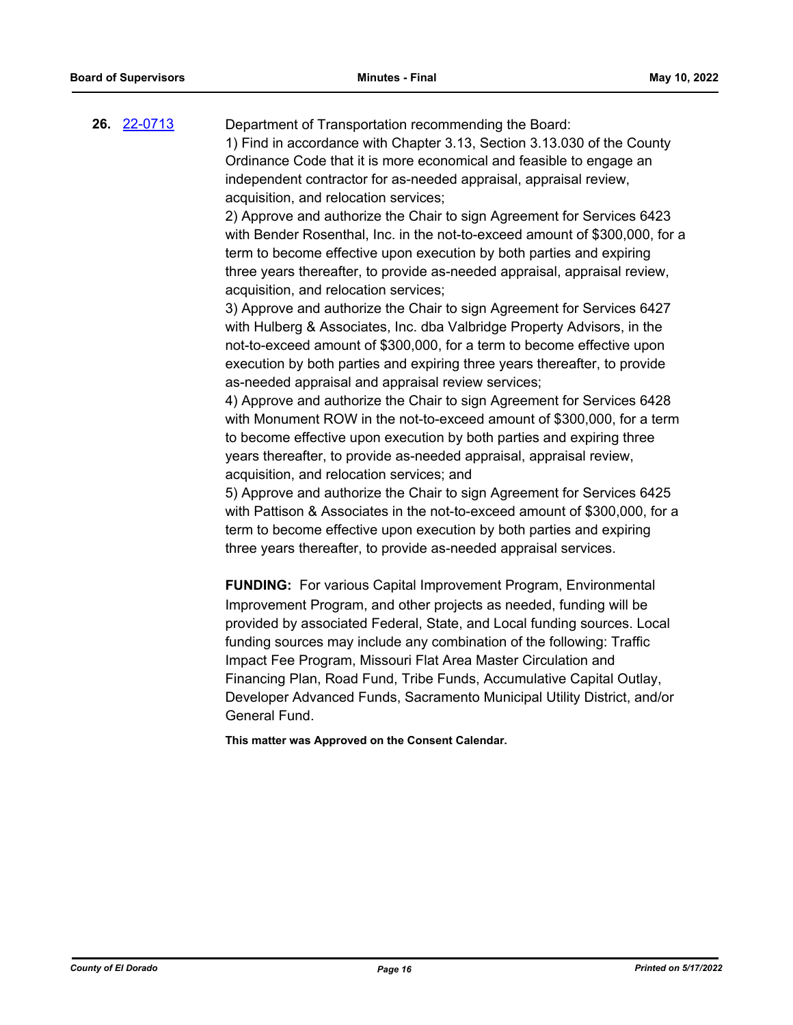**26.** [22-0713](http://eldorado.legistar.com/gateway.aspx?m=l&id=/matter.aspx?key=31614) Department of Transportation recommending the Board: 1) Find in accordance with Chapter 3.13, Section 3.13.030 of the County Ordinance Code that it is more economical and feasible to engage an independent contractor for as-needed appraisal, appraisal review, acquisition, and relocation services;

> 2) Approve and authorize the Chair to sign Agreement for Services 6423 with Bender Rosenthal, Inc. in the not-to-exceed amount of \$300,000, for a term to become effective upon execution by both parties and expiring three years thereafter, to provide as-needed appraisal, appraisal review, acquisition, and relocation services;

3) Approve and authorize the Chair to sign Agreement for Services 6427 with Hulberg & Associates, Inc. dba Valbridge Property Advisors, in the not-to-exceed amount of \$300,000, for a term to become effective upon execution by both parties and expiring three years thereafter, to provide as-needed appraisal and appraisal review services;

4) Approve and authorize the Chair to sign Agreement for Services 6428 with Monument ROW in the not-to-exceed amount of \$300,000, for a term to become effective upon execution by both parties and expiring three years thereafter, to provide as-needed appraisal, appraisal review, acquisition, and relocation services; and

5) Approve and authorize the Chair to sign Agreement for Services 6425 with Pattison & Associates in the not-to-exceed amount of \$300,000, for a term to become effective upon execution by both parties and expiring three years thereafter, to provide as-needed appraisal services.

**FUNDING:** For various Capital Improvement Program, Environmental Improvement Program, and other projects as needed, funding will be provided by associated Federal, State, and Local funding sources. Local funding sources may include any combination of the following: Traffic Impact Fee Program, Missouri Flat Area Master Circulation and Financing Plan, Road Fund, Tribe Funds, Accumulative Capital Outlay, Developer Advanced Funds, Sacramento Municipal Utility District, and/or General Fund.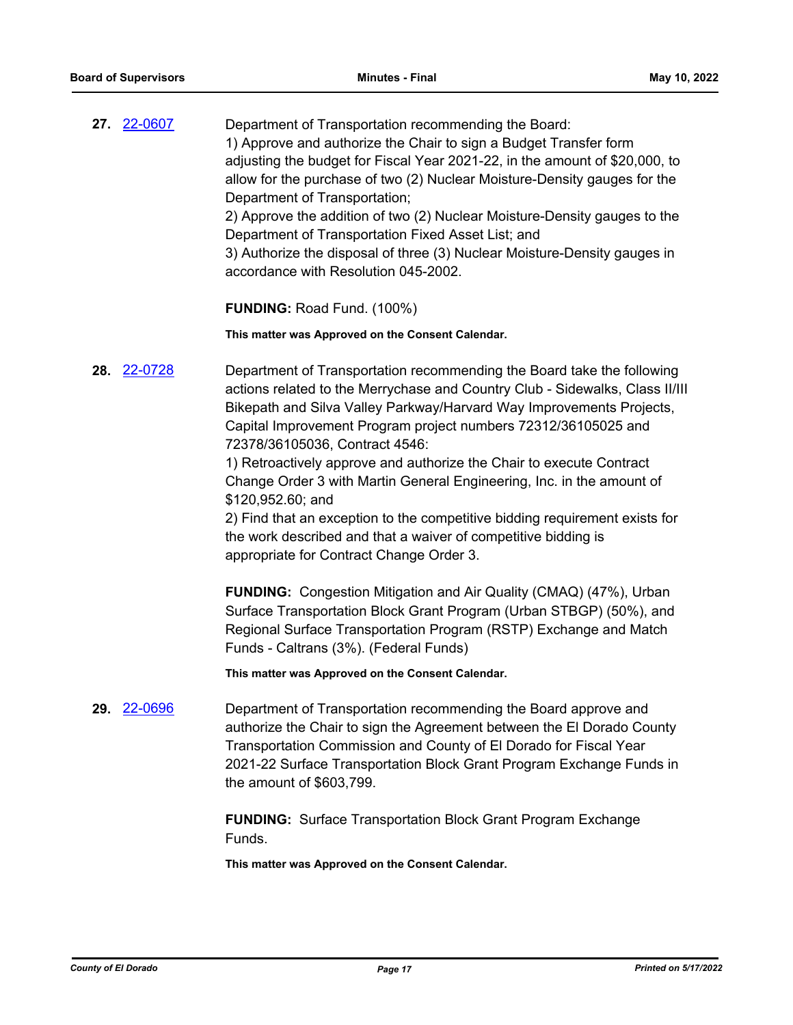|  | Department of Transportation recommending the Board:                        |
|--|-----------------------------------------------------------------------------|
|  | 1) Approve and authorize the Chair to sign a Budget Transfer form           |
|  | adjusting the budget for Fiscal Year 2021-22, in the amount of \$20,000, to |
|  | allow for the purchase of two (2) Nuclear Moisture-Density gauges for the   |
|  | Department of Transportation;                                               |
|  | 2) Approve the addition of two (2) Nuclear Moisture-Density gauges to the   |
|  | Department of Transportation Fixed Asset List; and                          |
|  | 3) Authorize the disposal of three (3) Nuclear Moisture-Density gauges in   |

**FUNDING:** Road Fund. (100%)

accordance with Resolution 045-2002.

**This matter was Approved on the Consent Calendar.**

**28.** [22-0728](http://eldorado.legistar.com/gateway.aspx?m=l&id=/matter.aspx?key=31629) Department of Transportation recommending the Board take the following actions related to the Merrychase and Country Club - Sidewalks, Class II/III Bikepath and Silva Valley Parkway/Harvard Way Improvements Projects, Capital Improvement Program project numbers 72312/36105025 and 72378/36105036, Contract 4546:

> 1) Retroactively approve and authorize the Chair to execute Contract Change Order 3 with Martin General Engineering, Inc. in the amount of \$120,952.60; and

2) Find that an exception to the competitive bidding requirement exists for the work described and that a waiver of competitive bidding is appropriate for Contract Change Order 3.

**FUNDING:** Congestion Mitigation and Air Quality (CMAQ) (47%), Urban Surface Transportation Block Grant Program (Urban STBGP) (50%), and Regional Surface Transportation Program (RSTP) Exchange and Match Funds - Caltrans (3%). (Federal Funds)

**This matter was Approved on the Consent Calendar.**

**29.** [22-0696](http://eldorado.legistar.com/gateway.aspx?m=l&id=/matter.aspx?key=31597) Department of Transportation recommending the Board approve and authorize the Chair to sign the Agreement between the El Dorado County Transportation Commission and County of El Dorado for Fiscal Year 2021-22 Surface Transportation Block Grant Program Exchange Funds in the amount of \$603,799.

> **FUNDING:** Surface Transportation Block Grant Program Exchange Funds.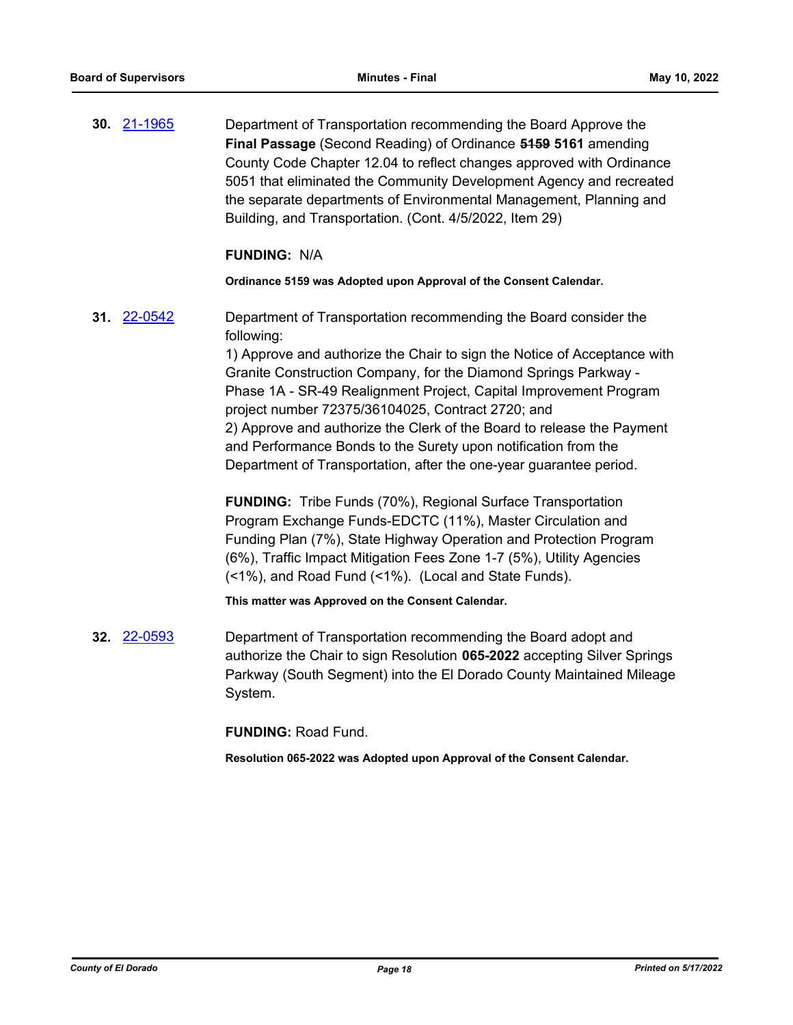**30.** [21-1965](http://eldorado.legistar.com/gateway.aspx?m=l&id=/matter.aspx?key=30861) Department of Transportation recommending the Board Approve the **Final Passage** (Second Reading) of Ordinance **5159 5161** amending County Code Chapter 12.04 to reflect changes approved with Ordinance 5051 that eliminated the Community Development Agency and recreated the separate departments of Environmental Management, Planning and Building, and Transportation. (Cont. 4/5/2022, Item 29)

## **FUNDING:** N/A

#### **Ordinance 5159 was Adopted upon Approval of the Consent Calendar.**

**31.** [22-0542](http://eldorado.legistar.com/gateway.aspx?m=l&id=/matter.aspx?key=31443) Department of Transportation recommending the Board consider the following:

> 1) Approve and authorize the Chair to sign the Notice of Acceptance with Granite Construction Company, for the Diamond Springs Parkway - Phase 1A - SR-49 Realignment Project, Capital Improvement Program project number 72375/36104025, Contract 2720; and 2) Approve and authorize the Clerk of the Board to release the Payment and Performance Bonds to the Surety upon notification from the Department of Transportation, after the one-year guarantee period.

**FUNDING:** Tribe Funds (70%), Regional Surface Transportation Program Exchange Funds-EDCTC (11%), Master Circulation and Funding Plan (7%), State Highway Operation and Protection Program (6%), Traffic Impact Mitigation Fees Zone 1-7 (5%), Utility Agencies (<1%), and Road Fund (<1%). (Local and State Funds).

#### **This matter was Approved on the Consent Calendar.**

**32.** [22-0593](http://eldorado.legistar.com/gateway.aspx?m=l&id=/matter.aspx?key=31494) Department of Transportation recommending the Board adopt and authorize the Chair to sign Resolution **065-2022** accepting Silver Springs Parkway (South Segment) into the El Dorado County Maintained Mileage System.

#### **FUNDING:** Road Fund.

**Resolution 065-2022 was Adopted upon Approval of the Consent Calendar.**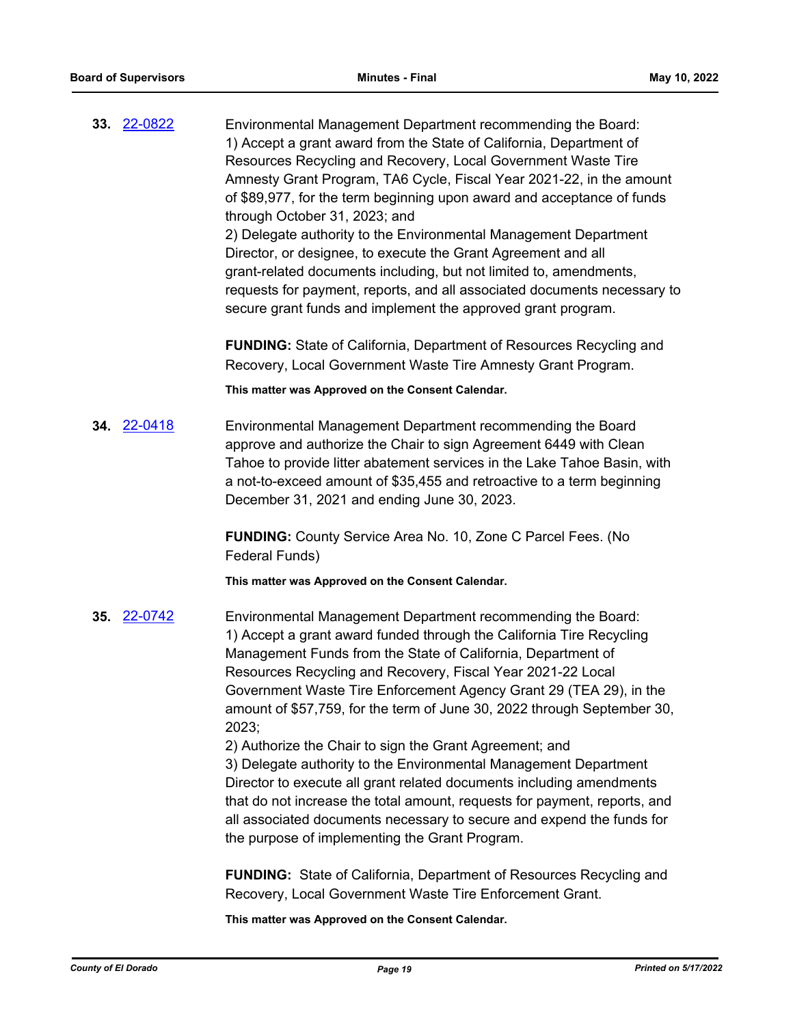**33.** [22-0822](http://eldorado.legistar.com/gateway.aspx?m=l&id=/matter.aspx?key=31725) Environmental Management Department recommending the Board: 1) Accept a grant award from the State of California, Department of Resources Recycling and Recovery, Local Government Waste Tire Amnesty Grant Program, TA6 Cycle, Fiscal Year 2021-22, in the amount of \$89,977, for the term beginning upon award and acceptance of funds through October 31, 2023; and 2) Delegate authority to the Environmental Management Department Director, or designee, to execute the Grant Agreement and all grant-related documents including, but not limited to, amendments, requests for payment, reports, and all associated documents necessary to secure grant funds and implement the approved grant program.

**FUNDING:** State of California, Department of Resources Recycling and Recovery, Local Government Waste Tire Amnesty Grant Program.

**This matter was Approved on the Consent Calendar.**

**34.** [22-0418](http://eldorado.legistar.com/gateway.aspx?m=l&id=/matter.aspx?key=31319) Environmental Management Department recommending the Board approve and authorize the Chair to sign Agreement 6449 with Clean Tahoe to provide litter abatement services in the Lake Tahoe Basin, with a not-to-exceed amount of \$35,455 and retroactive to a term beginning December 31, 2021 and ending June 30, 2023.

> **FUNDING:** County Service Area No. 10, Zone C Parcel Fees. (No Federal Funds)

**This matter was Approved on the Consent Calendar.**

**35.** [22-0742](http://eldorado.legistar.com/gateway.aspx?m=l&id=/matter.aspx?key=31643) Environmental Management Department recommending the Board: 1) Accept a grant award funded through the California Tire Recycling Management Funds from the State of California, Department of Resources Recycling and Recovery, Fiscal Year 2021-22 Local Government Waste Tire Enforcement Agency Grant 29 (TEA 29), in the amount of \$57,759, for the term of June 30, 2022 through September 30, 2023;

2) Authorize the Chair to sign the Grant Agreement; and 3) Delegate authority to the Environmental Management Department Director to execute all grant related documents including amendments that do not increase the total amount, requests for payment, reports, and all associated documents necessary to secure and expend the funds for the purpose of implementing the Grant Program.

**FUNDING:** State of California, Department of Resources Recycling and Recovery, Local Government Waste Tire Enforcement Grant.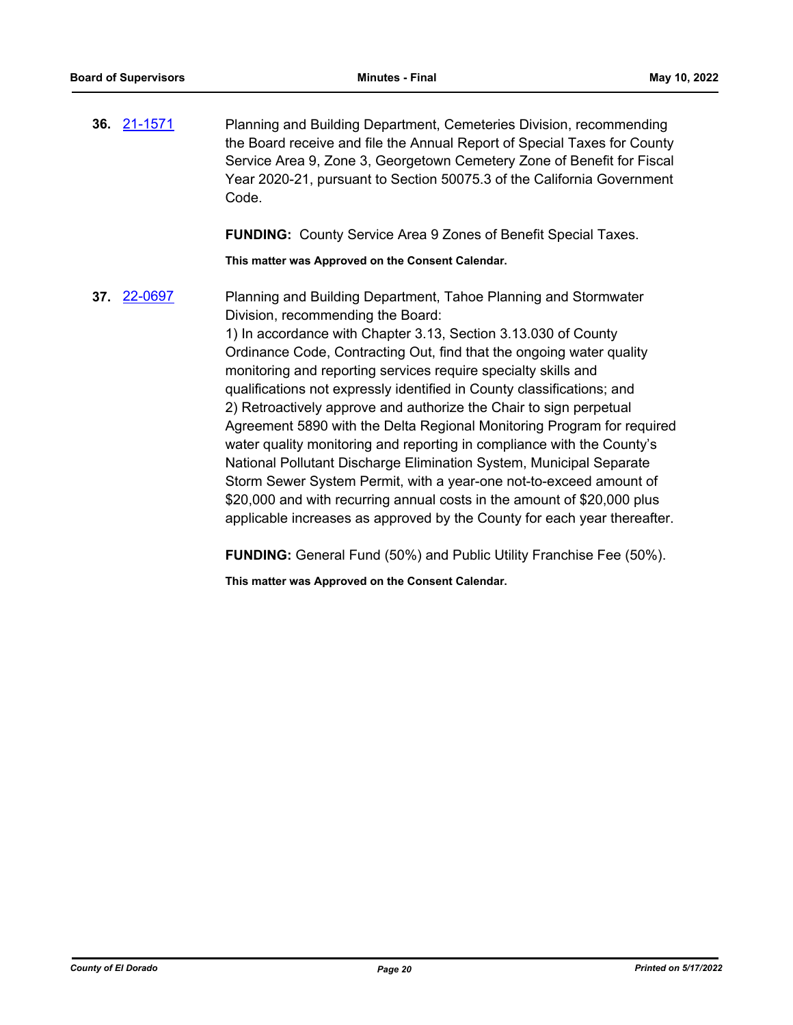**36.** [21-1571](http://eldorado.legistar.com/gateway.aspx?m=l&id=/matter.aspx?key=30466) Planning and Building Department, Cemeteries Division, recommending the Board receive and file the Annual Report of Special Taxes for County Service Area 9, Zone 3, Georgetown Cemetery Zone of Benefit for Fiscal Year 2020-21, pursuant to Section 50075.3 of the California Government Code.

**FUNDING:** County Service Area 9 Zones of Benefit Special Taxes.

**This matter was Approved on the Consent Calendar.**

**37.** [22-0697](http://eldorado.legistar.com/gateway.aspx?m=l&id=/matter.aspx?key=31598) Planning and Building Department, Tahoe Planning and Stormwater Division, recommending the Board: 1) In accordance with Chapter 3.13, Section 3.13.030 of County

Ordinance Code, Contracting Out, find that the ongoing water quality monitoring and reporting services require specialty skills and qualifications not expressly identified in County classifications; and 2) Retroactively approve and authorize the Chair to sign perpetual Agreement 5890 with the Delta Regional Monitoring Program for required water quality monitoring and reporting in compliance with the County's National Pollutant Discharge Elimination System, Municipal Separate Storm Sewer System Permit, with a year-one not-to-exceed amount of \$20,000 and with recurring annual costs in the amount of \$20,000 plus applicable increases as approved by the County for each year thereafter.

**FUNDING:** General Fund (50%) and Public Utility Franchise Fee (50%).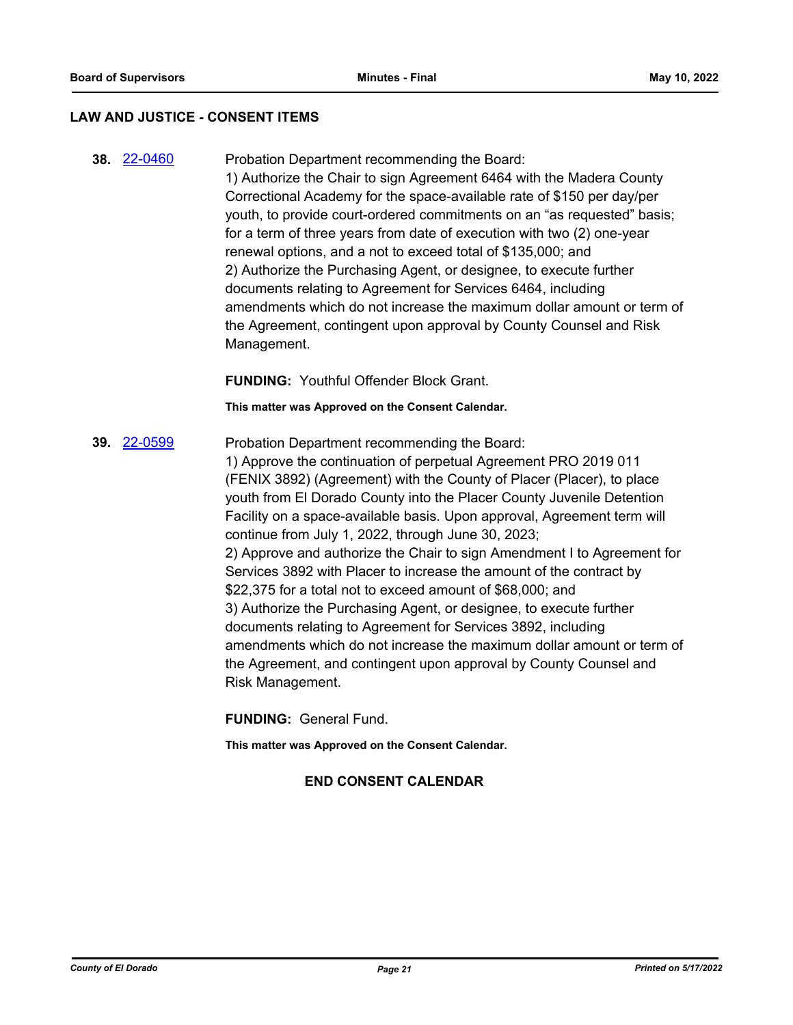#### **LAW AND JUSTICE - CONSENT ITEMS**

**38.** [22-0460](http://eldorado.legistar.com/gateway.aspx?m=l&id=/matter.aspx?key=31361) Probation Department recommending the Board: 1) Authorize the Chair to sign Agreement 6464 with the Madera County Correctional Academy for the space-available rate of \$150 per day/per youth, to provide court-ordered commitments on an "as requested" basis; for a term of three years from date of execution with two (2) one-year renewal options, and a not to exceed total of \$135,000; and 2) Authorize the Purchasing Agent, or designee, to execute further documents relating to Agreement for Services 6464, including amendments which do not increase the maximum dollar amount or term of the Agreement, contingent upon approval by County Counsel and Risk Management.

**FUNDING:** Youthful Offender Block Grant.

**This matter was Approved on the Consent Calendar.**

**39.** [22-0599](http://eldorado.legistar.com/gateway.aspx?m=l&id=/matter.aspx?key=31500) Probation Department recommending the Board: 1) Approve the continuation of perpetual Agreement PRO 2019 011 (FENIX 3892) (Agreement) with the County of Placer (Placer), to place youth from El Dorado County into the Placer County Juvenile Detention Facility on a space-available basis. Upon approval, Agreement term will continue from July 1, 2022, through June 30, 2023; 2) Approve and authorize the Chair to sign Amendment I to Agreement for Services 3892 with Placer to increase the amount of the contract by \$22,375 for a total not to exceed amount of \$68,000; and 3) Authorize the Purchasing Agent, or designee, to execute further documents relating to Agreement for Services 3892, including amendments which do not increase the maximum dollar amount or term of the Agreement, and contingent upon approval by County Counsel and Risk Management.

**FUNDING:** General Fund.

**This matter was Approved on the Consent Calendar.**

## **END CONSENT CALENDAR**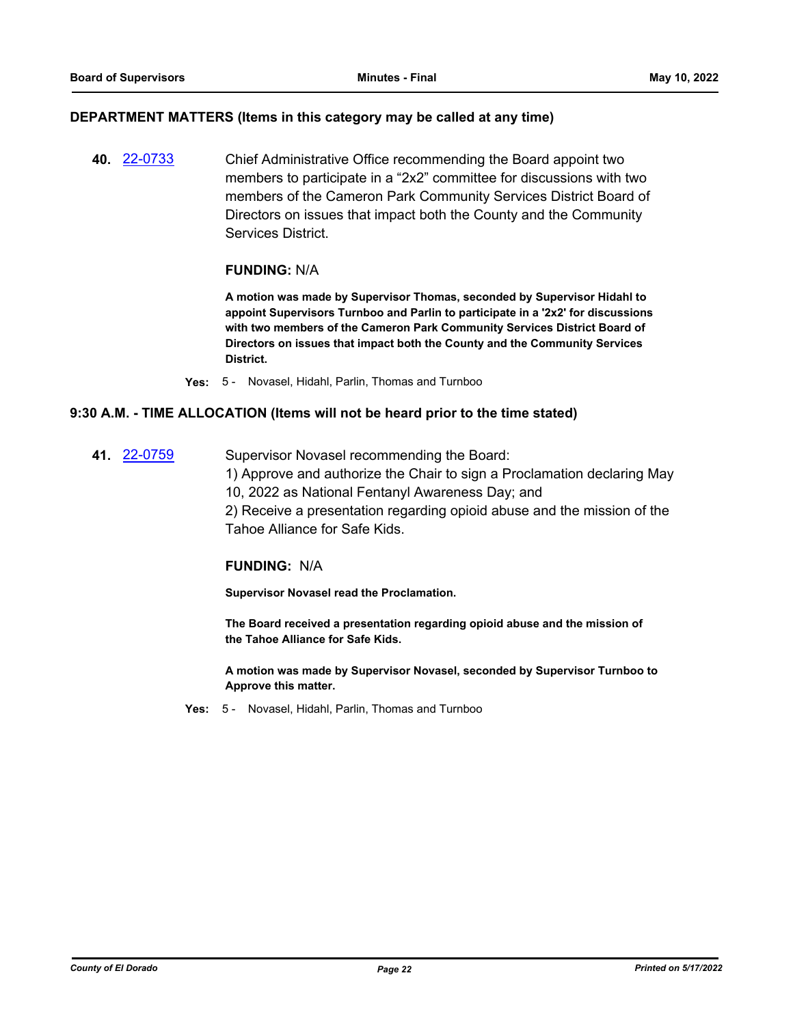### **DEPARTMENT MATTERS (Items in this category may be called at any time)**

**40.** [22-0733](http://eldorado.legistar.com/gateway.aspx?m=l&id=/matter.aspx?key=31634) Chief Administrative Office recommending the Board appoint two members to participate in a "2x2" committee for discussions with two members of the Cameron Park Community Services District Board of Directors on issues that impact both the County and the Community Services District.

## **FUNDING:** N/A

**A motion was made by Supervisor Thomas, seconded by Supervisor Hidahl to appoint Supervisors Turnboo and Parlin to participate in a '2x2' for discussions with two members of the Cameron Park Community Services District Board of Directors on issues that impact both the County and the Community Services District.**

**Yes:** 5 - Novasel, Hidahl, Parlin, Thomas and Turnboo

## **9:30 A.M. - TIME ALLOCATION (Items will not be heard prior to the time stated)**

**41.** [22-0759](http://eldorado.legistar.com/gateway.aspx?m=l&id=/matter.aspx?key=31660) Supervisor Novasel recommending the Board:

1) Approve and authorize the Chair to sign a Proclamation declaring May 10, 2022 as National Fentanyl Awareness Day; and

2) Receive a presentation regarding opioid abuse and the mission of the Tahoe Alliance for Safe Kids.

#### **FUNDING:** N/A

**Supervisor Novasel read the Proclamation.**

**The Board received a presentation regarding opioid abuse and the mission of the Tahoe Alliance for Safe Kids.**

**A motion was made by Supervisor Novasel, seconded by Supervisor Turnboo to Approve this matter.**

**Yes:** 5 - Novasel, Hidahl, Parlin, Thomas and Turnboo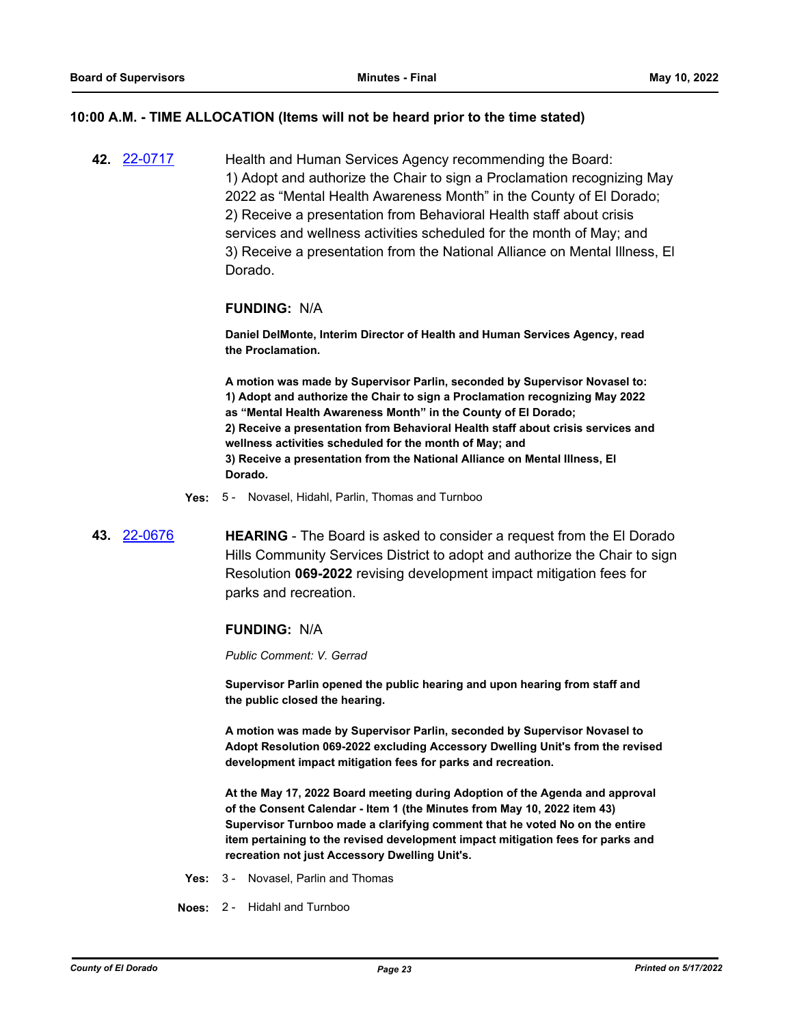#### **10:00 A.M. - TIME ALLOCATION (Items will not be heard prior to the time stated)**

**42.** [22-0717](http://eldorado.legistar.com/gateway.aspx?m=l&id=/matter.aspx?key=31618) Health and Human Services Agency recommending the Board: 1) Adopt and authorize the Chair to sign a Proclamation recognizing May 2022 as "Mental Health Awareness Month" in the County of El Dorado; 2) Receive a presentation from Behavioral Health staff about crisis services and wellness activities scheduled for the month of May; and 3) Receive a presentation from the National Alliance on Mental Illness, El Dorado.

#### **FUNDING:** N/A

**Daniel DelMonte, Interim Director of Health and Human Services Agency, read the Proclamation.**

**A motion was made by Supervisor Parlin, seconded by Supervisor Novasel to: 1) Adopt and authorize the Chair to sign a Proclamation recognizing May 2022 as "Mental Health Awareness Month" in the County of El Dorado; 2) Receive a presentation from Behavioral Health staff about crisis services and wellness activities scheduled for the month of May; and 3) Receive a presentation from the National Alliance on Mental Illness, El Dorado.**

- **Yes:** 5 Novasel, Hidahl, Parlin, Thomas and Turnboo
- **43.** [22-0676](http://eldorado.legistar.com/gateway.aspx?m=l&id=/matter.aspx?key=31577) **HEARING** The Board is asked to consider a request from the El Dorado Hills Community Services District to adopt and authorize the Chair to sign Resolution **069-2022** revising development impact mitigation fees for parks and recreation.

#### **FUNDING:** N/A

*Public Comment: V. Gerrad*

**Supervisor Parlin opened the public hearing and upon hearing from staff and the public closed the hearing.**

**A motion was made by Supervisor Parlin, seconded by Supervisor Novasel to Adopt Resolution 069-2022 excluding Accessory Dwelling Unit's from the revised development impact mitigation fees for parks and recreation.**

**At the May 17, 2022 Board meeting during Adoption of the Agenda and approval of the Consent Calendar - Item 1 (the Minutes from May 10, 2022 item 43) Supervisor Turnboo made a clarifying comment that he voted No on the entire item pertaining to the revised development impact mitigation fees for parks and recreation not just Accessory Dwelling Unit's.**

- **Yes:** 3 Novasel, Parlin and Thomas
- **Noes:** 2 Hidahl and Turnboo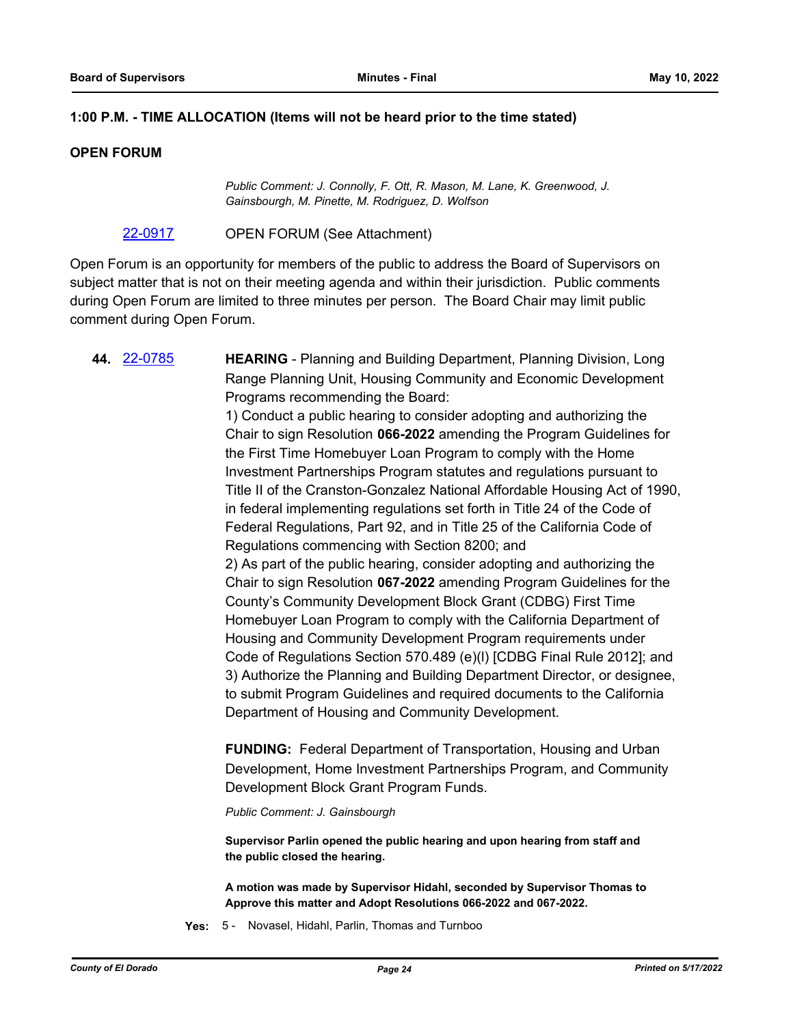## **1:00 P.M. - TIME ALLOCATION (Items will not be heard prior to the time stated)**

## **OPEN FORUM**

*Public Comment: J. Connolly, F. Ott, R. Mason, M. Lane, K. Greenwood, J. Gainsbourgh, M. Pinette, M. Rodriguez, D. Wolfson*

[22-0917](http://eldorado.legistar.com/gateway.aspx?m=l&id=/matter.aspx?key=31820) OPEN FORUM (See Attachment)

Open Forum is an opportunity for members of the public to address the Board of Supervisors on subject matter that is not on their meeting agenda and within their jurisdiction. Public comments during Open Forum are limited to three minutes per person. The Board Chair may limit public comment during Open Forum.

**44.** [22-0785](http://eldorado.legistar.com/gateway.aspx?m=l&id=/matter.aspx?key=31686) **HEARING** - Planning and Building Department, Planning Division, Long Range Planning Unit, Housing Community and Economic Development Programs recommending the Board: 1) Conduct a public hearing to consider adopting and authorizing the Chair to sign Resolution **066-2022** amending the Program Guidelines for the First Time Homebuyer Loan Program to comply with the Home Investment Partnerships Program statutes and regulations pursuant to Title II of the Cranston-Gonzalez National Affordable Housing Act of 1990, in federal implementing regulations set forth in Title 24 of the Code of Federal Regulations, Part 92, and in Title 25 of the California Code of Regulations commencing with Section 8200; and 2) As part of the public hearing, consider adopting and authorizing the Chair to sign Resolution **067-2022** amending Program Guidelines for the County's Community Development Block Grant (CDBG) First Time Homebuyer Loan Program to comply with the California Department of Housing and Community Development Program requirements under Code of Regulations Section 570.489 (e)(l) [CDBG Final Rule 2012]; and 3) Authorize the Planning and Building Department Director, or designee, to submit Program Guidelines and required documents to the California Department of Housing and Community Development. **FUNDING:** Federal Department of Transportation, Housing and Urban Development, Home Investment Partnerships Program, and Community Development Block Grant Program Funds. *Public Comment: J. Gainsbourgh* **Supervisor Parlin opened the public hearing and upon hearing from staff and the public closed the hearing.**

**A motion was made by Supervisor Hidahl, seconded by Supervisor Thomas to Approve this matter and Adopt Resolutions 066-2022 and 067-2022.**

**Yes:** 5 - Novasel, Hidahl, Parlin, Thomas and Turnboo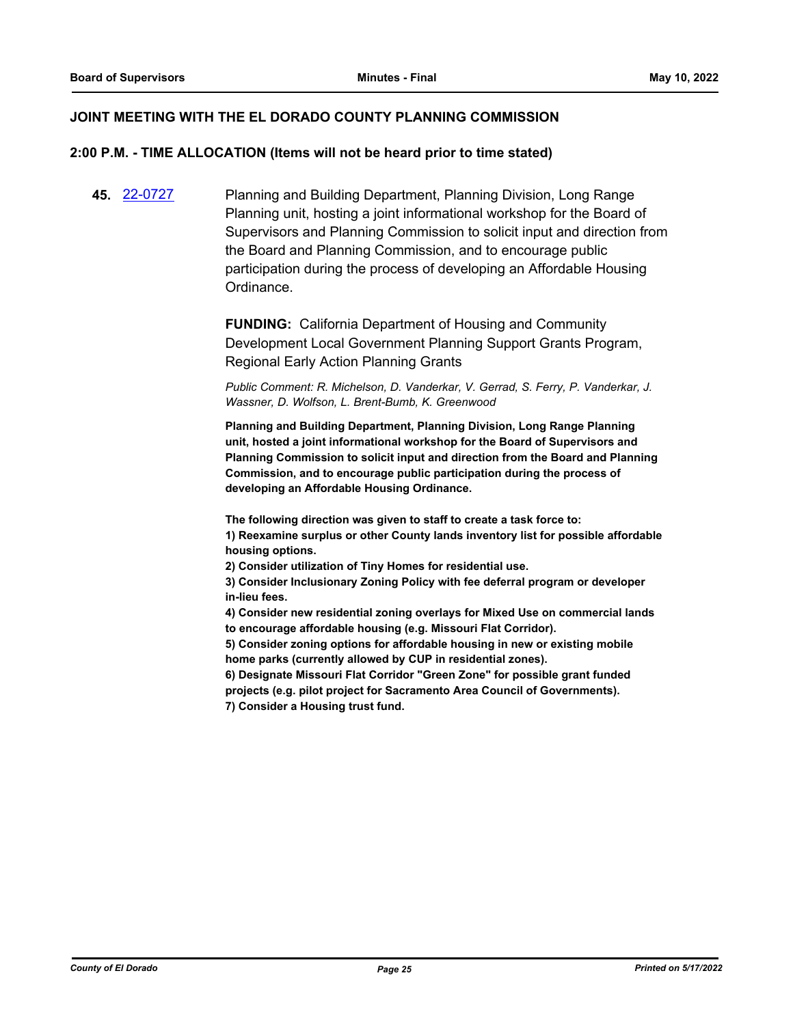## **JOINT MEETING WITH THE EL DORADO COUNTY PLANNING COMMISSION**

#### **2:00 P.M. - TIME ALLOCATION (Items will not be heard prior to time stated)**

**45.** [22-0727](http://eldorado.legistar.com/gateway.aspx?m=l&id=/matter.aspx?key=31628) Planning and Building Department, Planning Division, Long Range Planning unit, hosting a joint informational workshop for the Board of Supervisors and Planning Commission to solicit input and direction from the Board and Planning Commission, and to encourage public participation during the process of developing an Affordable Housing Ordinance.

> **FUNDING:** California Department of Housing and Community Development Local Government Planning Support Grants Program, Regional Early Action Planning Grants

*Public Comment: R. Michelson, D. Vanderkar, V. Gerrad, S. Ferry, P. Vanderkar, J. Wassner, D. Wolfson, L. Brent-Bumb, K. Greenwood*

**Planning and Building Department, Planning Division, Long Range Planning unit, hosted a joint informational workshop for the Board of Supervisors and Planning Commission to solicit input and direction from the Board and Planning Commission, and to encourage public participation during the process of developing an Affordable Housing Ordinance.**

**The following direction was given to staff to create a task force to: 1) Reexamine surplus or other County lands inventory list for possible affordable housing options.**

**2) Consider utilization of Tiny Homes for residential use.** 

**3) Consider Inclusionary Zoning Policy with fee deferral program or developer in-lieu fees.**

**4) Consider new residential zoning overlays for Mixed Use on commercial lands to encourage affordable housing (e.g. Missouri Flat Corridor).**

**5) Consider zoning options for affordable housing in new or existing mobile home parks (currently allowed by CUP in residential zones).**

**6) Designate Missouri Flat Corridor "Green Zone" for possible grant funded projects (e.g. pilot project for Sacramento Area Council of Governments). 7) Consider a Housing trust fund.**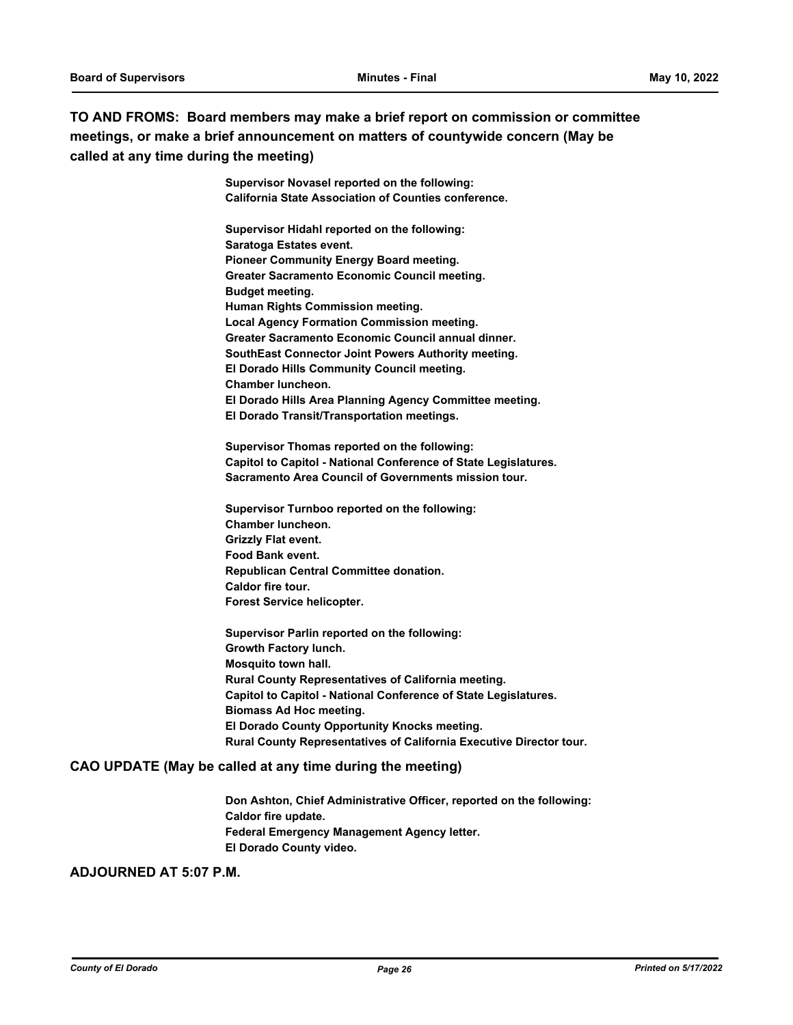## **TO AND FROMS: Board members may make a brief report on commission or committee meetings, or make a brief announcement on matters of countywide concern (May be called at any time during the meeting)**

**Supervisor Novasel reported on the following: California State Association of Counties conference.** 

**Supervisor Hidahl reported on the following: Saratoga Estates event. Pioneer Community Energy Board meeting. Greater Sacramento Economic Council meeting. Budget meeting. Human Rights Commission meeting. Local Agency Formation Commission meeting. Greater Sacramento Economic Council annual dinner. SouthEast Connector Joint Powers Authority meeting. El Dorado Hills Community Council meeting. Chamber luncheon. El Dorado Hills Area Planning Agency Committee meeting. El Dorado Transit/Transportation meetings.**

**Supervisor Thomas reported on the following: Capitol to Capitol - National Conference of State Legislatures. Sacramento Area Council of Governments mission tour.**

**Supervisor Turnboo reported on the following: Chamber luncheon. Grizzly Flat event. Food Bank event. Republican Central Committee donation. Caldor fire tour. Forest Service helicopter.**

**Supervisor Parlin reported on the following: Growth Factory lunch. Mosquito town hall. Rural County Representatives of California meeting. Capitol to Capitol - National Conference of State Legislatures. Biomass Ad Hoc meeting. El Dorado County Opportunity Knocks meeting. Rural County Representatives of California Executive Director tour.**

#### **CAO UPDATE (May be called at any time during the meeting)**

**Don Ashton, Chief Administrative Officer, reported on the following: Caldor fire update. Federal Emergency Management Agency letter. El Dorado County video.**

## **ADJOURNED AT 5:07 P.M.**